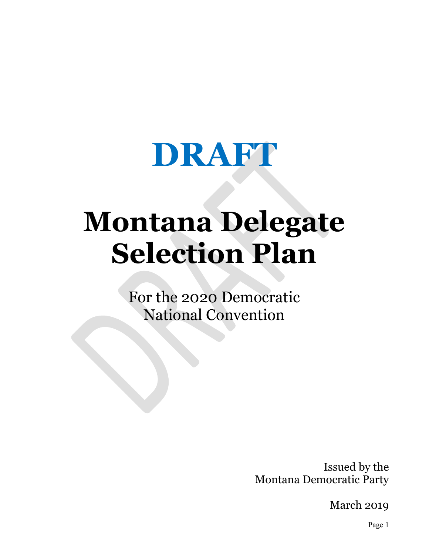

# **Montana Delegate Selection Plan**

For the 2020 Democratic National Convention

> Issued by the Montana Democratic Party

> > March 2019

Page 1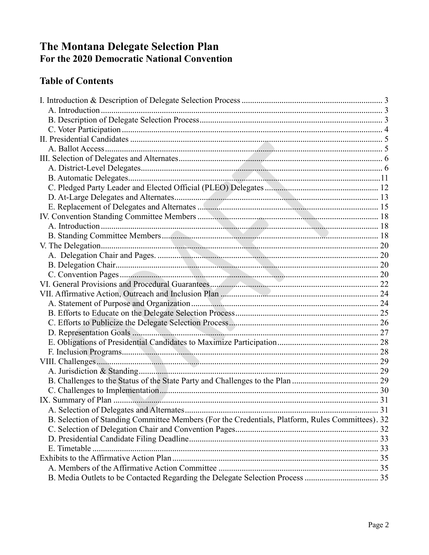## The Montana Delegate Selection Plan<br>For the 2020 Democratic National Convention

#### **Table of Contents**

|                                                                                                  | .31 |
|--------------------------------------------------------------------------------------------------|-----|
| B. Selection of Standing Committee Members (For the Credentials, Platform, Rules Committees). 32 |     |
|                                                                                                  |     |
|                                                                                                  |     |
| E. Timetable                                                                                     |     |
|                                                                                                  |     |
|                                                                                                  |     |
|                                                                                                  |     |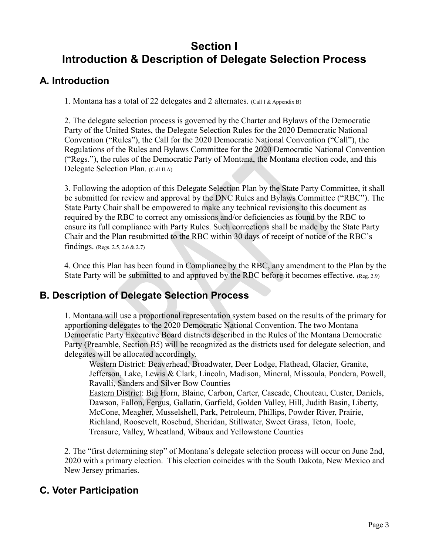## **Section I Introduction & Description of Delegate Selection Process**

#### <span id="page-2-1"></span><span id="page-2-0"></span>**A. Introduction**

1. Montana has a total of 22 delegates and 2 alternates. (Call I & Appendix B)

2. The delegate selection process is governed by the Charter and Bylaws of the Democratic Party of the United States, the Delegate Selection Rules for the 2020 Democratic National Convention ("Rules"), the Call for the 2020 Democratic National Convention ("Call"), the Regulations of the Rules and Bylaws Committee for the 2020 Democratic National Convention ("Regs."), the rules of the Democratic Party of Montana, the Montana election code, and this Delegate Selection Plan. (Call II.A)

3. Following the adoption of this Delegate Selection Plan by the State Party Committee, it shall be submitted for review and approval by the DNC Rules and Bylaws Committee ("RBC"). The State Party Chair shall be empowered to make any technical revisions to this document as required by the RBC to correct any omissions and/or deficiencies as found by the RBC to ensure its full compliance with Party Rules. Such corrections shall be made by the State Party Chair and the Plan resubmitted to the RBC within 30 days of receipt of notice of the RBC's findings. (Regs. 2.5, 2.6 & 2.7)

4. Once this Plan has been found in Compliance by the RBC, any amendment to the Plan by the State Party will be submitted to and approved by the RBC before it becomes effective. (Reg. 2.9)

#### <span id="page-2-2"></span>**B. Description of Delegate Selection Process**

1. Montana will use a proportional representation system based on the results of the primary for apportioning delegates to the 2020 Democratic National Convention. The two Montana Democratic Party Executive Board districts described in the Rules of the Montana Democratic Party (Preamble, Section B5) will be recognized as the districts used for delegate selection, and delegates will be allocated accordingly.

Western District: Beaverhead, Broadwater, Deer Lodge, Flathead, Glacier, Granite, Jefferson, Lake, Lewis & Clark, Lincoln, Madison, Mineral, Missoula, Pondera, Powell, Ravalli, Sanders and Silver Bow Counties

Eastern District: Big Horn, Blaine, Carbon, Carter, Cascade, Chouteau, Custer, Daniels, Dawson, Fallon, Fergus, Gallatin, Garfield, Golden Valley, Hill, Judith Basin, Liberty, McCone, Meagher, Musselshell, Park, Petroleum, Phillips, Powder River, Prairie, Richland, Roosevelt, Rosebud, Sheridan, Stillwater, Sweet Grass, Teton, Toole, Treasure, Valley, Wheatland, Wibaux and Yellowstone Counties

2. The "first determining step" of Montana's delegate selection process will occur on June 2nd, 2020 with a primary election. This election coincides with the South Dakota, New Mexico and New Jersey primaries.

#### **C. Voter Participation**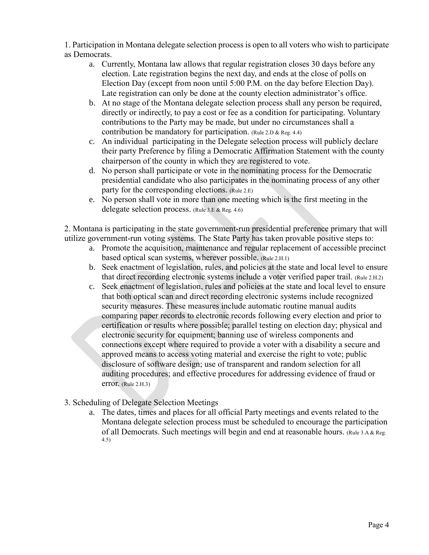1. Participation in Montana delegate selection process is open to all voters who wish to participate as Democrats.

- a. Currently, Montana law allows that regular registration closes 30 days before any election. Late registration begins the next day, and ends at the close of polls on Election Day (except from noon until 5:00 P.M. on the day before Election Day). Late registration can only be done at the county election administrator's office.
- b. At no stage of the Montana delegate selection process shall any person be required, directly or indirectly, to pay a cost or fee as a condition for participating. Voluntary contributions to the Party may be made, but under no circumstances shall a contribution be mandatory for participation. (Rule 2.D & Reg. 4.4)
- c. An individual participating in the Delegate selection process will publicly declare their party Preference by filing a Democratic Affirmation Statement with the county chairperson of the county in which they are registered to vote.
- d. No person shall participate or vote in the nominating process for the Democratic presidential candidate who also participates in the nominating process of any other party for the corresponding elections. (Rule 2.E)
- e. No person shall vote in more than one meeting which is the first meeting in the delegate selection process. (Rule 3.E & Reg. 4.6)

2. Montana is participating in the state government-run presidential preference primary that will utilize government-run voting systems. The State Party has taken provable positive steps to:

- a. Promote the acquisition, maintenance and regular replacement of accessible precinct based optical scan systems, wherever possible. (Rule 2.H.1)
- b. Seek enactment of legislation, rules, and policies at the state and local level to ensure that direct recording electronic systems include a voter verified paper trail. (Rule 2.H.2)
- c. Seek enactment of legislation, rules and policies at the state and local level to ensure that both optical scan and direct recording electronic systems include recognized security measures. These measures include automatic routine manual audits comparing paper records to electronic records following every election and prior to certification or results where possible; parallel testing on election day; physical and electronic security for equipment; banning use of wireless components and connections except where required to provide a voter with a disability a secure and approved means to access voting material and exercise the right to vote; public disclosure of software design; use of transparent and random selection for all auditing procedures; and effective procedures for addressing evidence of fraud or error. (Rule 2.H.3)
- 3. Scheduling of Delegate Selection Meetings
	- a. The dates, times and places for all official Party meetings and events related to the Montana delegate selection process must be scheduled to encourage the participation of all Democrats. Such meetings will begin and end at reasonable hours. (Rule 3.A & Reg. 4.5)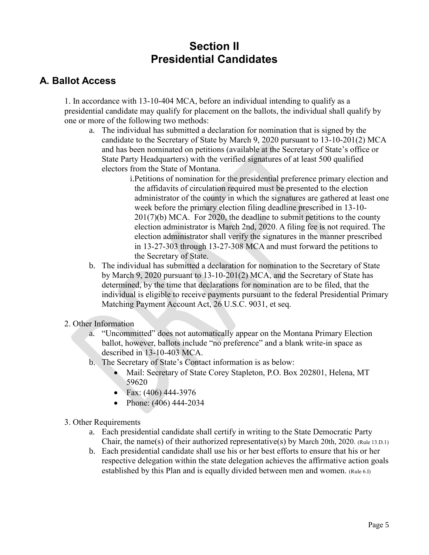## **Section II Presidential Candidates**

#### <span id="page-4-1"></span><span id="page-4-0"></span>**A. Ballot Access**

1. In accordance with 13-10-404 MCA, before an individual intending to qualify as a presidential candidate may qualify for placement on the ballots, the individual shall qualify by one or more of the following two methods:

- a. The individual has submitted a declaration for nomination that is signed by the candidate to the Secretary of State by March 9, 2020 pursuant to 13-10-201(2) MCA and has been nominated on petitions (available at the Secretary of State's office or State Party Headquarters) with the verified signatures of at least 500 qualified electors from the State of Montana.
	- i.Petitions of nomination for the presidential preference primary election and the affidavits of circulation required must be presented to the election administrator of the county in which the signatures are gathered at least one week before the primary election filing deadline prescribed in 13-10- 201(7)(b) MCA. For 2020, the deadline to submit petitions to the county election administrator is March 2nd, 2020. A filing fee is not required. The election administrator shall verify the signatures in the manner prescribed in 13-27-303 through 13-27-308 MCA and must forward the petitions to the Secretary of State.
- b. The individual has submitted a declaration for nomination to the Secretary of State by March 9, 2020 pursuant to 13-10-201(2) MCA, and the Secretary of State has determined, by the time that declarations for nomination are to be filed, that the individual is eligible to receive payments pursuant to the federal Presidential Primary Matching Payment Account Act, 26 U.S.C. 9031, et seq.
- 2. Other Information
	- a. "Uncommitted" does not automatically appear on the Montana Primary Election ballot, however, ballots include "no preference" and a blank write-in space as described in 13-10-403 MCA.
	- b. The Secretary of State's Contact information is as below:
		- Mail: Secretary of State Corey Stapleton, P.O. Box 202801, Helena, MT 59620
		- Fax: (406) 444-3976
		- Phone: (406) 444-2034
- 3. Other Requirements
	- a. Each presidential candidate shall certify in writing to the State Democratic Party Chair, the name(s) of their authorized representative(s) by March 20th, 2020. (Rule 13.D.1)
	- b. Each presidential candidate shall use his or her best efforts to ensure that his or her respective delegation within the state delegation achieves the affirmative action goals established by this Plan and is equally divided between men and women. (Rule 6.I)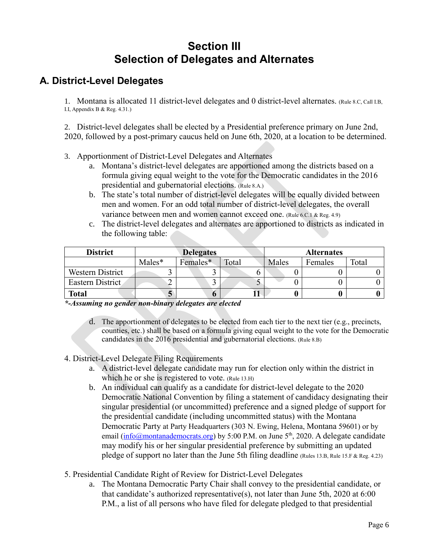## **Section III Selection of Delegates and Alternates**

#### <span id="page-5-1"></span><span id="page-5-0"></span>**A. District-Level Delegates**

1. Montana is allocated 11 district-level delegates and 0 district-level alternates. (Rule 8.C, Call I.B, I.I, Appendix B & Reg. 4.31.)

2. District-level delegates shall be elected by a Presidential preference primary on June 2nd, 2020, followed by a post-primary caucus held on June 6th, 2020, at a location to be determined.

- 3. Apportionment of District-Level Delegates and Alternates
	- a. Montana's district-level delegates are apportioned among the districts based on a formula giving equal weight to the vote for the Democratic candidates in the 2016 presidential and gubernatorial elections. (Rule 8.A.)
	- b. The state's total number of district-level delegates will be equally divided between men and women. For an odd total number of district-level delegates, the overall variance between men and women cannot exceed one. (Rule 6.C.1 & Reg. 4.9)
	- c. The district-level delegates and alternates are apportioned to districts as indicated in the following table:

| <b>District</b>         |          | <b>Delegates</b> |       |       | <b>Alternates</b> |       |
|-------------------------|----------|------------------|-------|-------|-------------------|-------|
|                         | $Males*$ | Females*         | Total | Males | Females           | Total |
| <b>Western District</b> |          |                  |       |       |                   |       |
| Eastern District        |          |                  |       |       |                   |       |
| <b>Total</b>            | J        |                  |       |       |                   |       |

*\*-Assuming no gender non-binary delegates are elected*

- d. The apportionment of delegates to be elected from each tier to the next tier (e.g., precincts, counties, etc.) shall be based on a formula giving equal weight to the vote for the Democratic candidates in the 2016 presidential and gubernatorial elections. (Rule 8.B)
- 4. District-Level Delegate Filing Requirements
	- a. A district-level delegate candidate may run for election only within the district in which he or she is registered to vote. (Rule 13.H)
	- b. An individual can qualify as a candidate for district-level delegate to the 2020 Democratic National Convention by filing a statement of candidacy designating their singular presidential (or uncommitted) preference and a signed pledge of support for the presidential candidate (including uncommitted status) with the Montana Democratic Party at Party Headquarters (303 N. Ewing, Helena, Montana 59601) or by email [\(info@montanademocrats.org\)](mailto:info@montanademocrats.org) by 5:00 P.M. on June 5<sup>th</sup>, 2020. A delegate candidate may modify his or her singular presidential preference by submitting an updated pledge of support no later than the June 5th filing deadline (Rules 13.B, Rule 15.F & Reg. 4.23)
- 5. Presidential Candidate Right of Review for District-Level Delegates
	- a. The Montana Democratic Party Chair shall convey to the presidential candidate, or that candidate's authorized representative(s), not later than June 5th, 2020 at 6:00 P.M., a list of all persons who have filed for delegate pledged to that presidential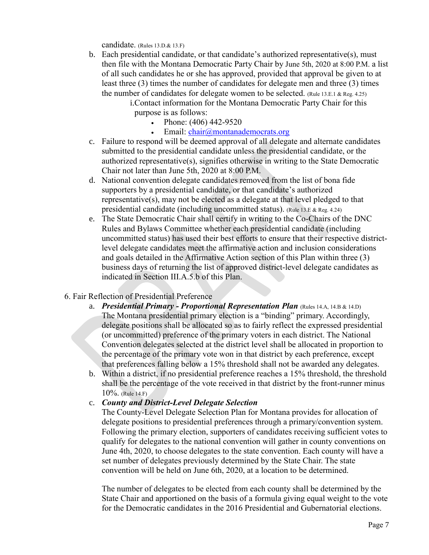candidate. (Rules 13.D.& 13.F)

b. Each presidential candidate, or that candidate's authorized representative(s), must then file with the Montana Democratic Party Chair by June 5th, 2020 at 8:00 P.M. a list of all such candidates he or she has approved, provided that approval be given to at least three (3) times the number of candidates for delegate men and three (3) times the number of candidates for delegate women to be selected. (Rule 13.E.1 & Reg. 4.25)

i.Contact information for the Montana Democratic Party Chair for this purpose is as follows:

- Phone:  $(406)$  442-9520
- Email: [chair@montanademocrats.org](mailto:chair@montanademocrats.org)
- c. Failure to respond will be deemed approval of all delegate and alternate candidates submitted to the presidential candidate unless the presidential candidate, or the authorized representative(s), signifies otherwise in writing to the State Democratic Chair not later than June 5th, 2020 at 8:00 P.M.
- d. National convention delegate candidates removed from the list of bona fide supporters by a presidential candidate, or that candidate's authorized representative(s), may not be elected as a delegate at that level pledged to that presidential candidate (including uncommitted status). (Rule 13.E & Reg. 4.24)
- e. The State Democratic Chair shall certify in writing to the Co-Chairs of the DNC Rules and Bylaws Committee whether each presidential candidate (including uncommitted status) has used their best efforts to ensure that their respective districtlevel delegate candidates meet the affirmative action and inclusion considerations and goals detailed in the Affirmative Action section of this Plan within three (3) business days of returning the list of approved district-level delegate candidates as indicated in Section III.A.5.b of this Plan.

#### 6. Fair Reflection of Presidential Preference

- a. *Presidential Primary - Proportional Representation Plan* (Rules 14.A, 14.B & 14.D) The Montana presidential primary election is a "binding" primary. Accordingly, delegate positions shall be allocated so as to fairly reflect the expressed presidential (or uncommitted) preference of the primary voters in each district. The National Convention delegates selected at the district level shall be allocated in proportion to the percentage of the primary vote won in that district by each preference, except that preferences falling below a 15% threshold shall not be awarded any delegates.
- b. Within a district, if no presidential preference reaches a 15% threshold, the threshold shall be the percentage of the vote received in that district by the front-runner minus 10%. (Rule 14.F)

#### c. *County and District-Level Delegate Selection*

The County-Level Delegate Selection Plan for Montana provides for allocation of delegate positions to presidential preferences through a primary/convention system. Following the primary election, supporters of candidates receiving sufficient votes to qualify for delegates to the national convention will gather in county conventions on June 4th, 2020, to choose delegates to the state convention. Each county will have a set number of delegates previously determined by the State Chair. The state convention will be held on June 6th, 2020, at a location to be determined.

The number of delegates to be elected from each county shall be determined by the State Chair and apportioned on the basis of a formula giving equal weight to the vote for the Democratic candidates in the 2016 Presidential and Gubernatorial elections.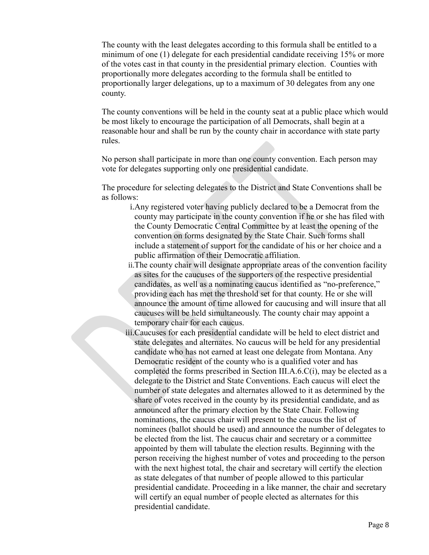The county with the least delegates according to this formula shall be entitled to a minimum of one (1) delegate for each presidential candidate receiving 15% or more of the votes cast in that county in the presidential primary election. Counties with proportionally more delegates according to the formula shall be entitled to proportionally larger delegations, up to a maximum of 30 delegates from any one county.

The county conventions will be held in the county seat at a public place which would be most likely to encourage the participation of all Democrats, shall begin at a reasonable hour and shall be run by the county chair in accordance with state party rules.

No person shall participate in more than one county convention. Each person may vote for delegates supporting only one presidential candidate.

The procedure for selecting delegates to the District and State Conventions shall be as follows:

- i.Any registered voter having publicly declared to be a Democrat from the county may participate in the county convention if he or she has filed with the County Democratic Central Committee by at least the opening of the convention on forms designated by the State Chair. Such forms shall include a statement of support for the candidate of his or her choice and a public affirmation of their Democratic affiliation.
- ii.The county chair will designate appropriate areas of the convention facility as sites for the caucuses of the supporters of the respective presidential candidates, as well as a nominating caucus identified as "no-preference," providing each has met the threshold set for that county. He or she will announce the amount of time allowed for caucusing and will insure that all caucuses will be held simultaneously. The county chair may appoint a temporary chair for each caucus.
- iii.Caucuses for each presidential candidate will be held to elect district and state delegates and alternates. No caucus will be held for any presidential candidate who has not earned at least one delegate from Montana. Any Democratic resident of the county who is a qualified voter and has completed the forms prescribed in Section III.A.6.C(i), may be elected as a delegate to the District and State Conventions. Each caucus will elect the number of state delegates and alternates allowed to it as determined by the share of votes received in the county by its presidential candidate, and as announced after the primary election by the State Chair. Following nominations, the caucus chair will present to the caucus the list of nominees (ballot should be used) and announce the number of delegates to be elected from the list. The caucus chair and secretary or a committee appointed by them will tabulate the election results. Beginning with the person receiving the highest number of votes and proceeding to the person with the next highest total, the chair and secretary will certify the election as state delegates of that number of people allowed to this particular presidential candidate. Proceeding in a like manner, the chair and secretary will certify an equal number of people elected as alternates for this presidential candidate.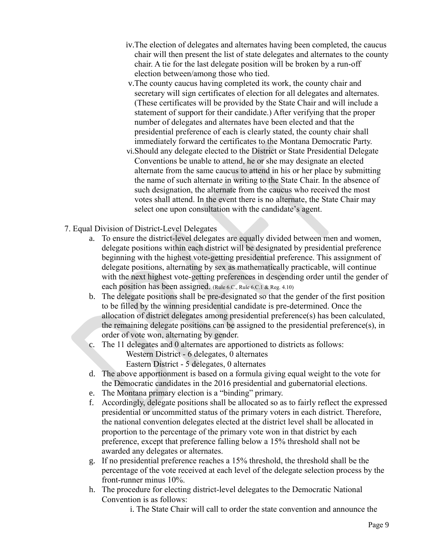- iv.The election of delegates and alternates having been completed, the caucus chair will then present the list of state delegates and alternates to the county chair. A tie for the last delegate position will be broken by a run-off election between/among those who tied.
- v.The county caucus having completed its work, the county chair and secretary will sign certificates of election for all delegates and alternates. (These certificates will be provided by the State Chair and will include a statement of support for their candidate.) After verifying that the proper number of delegates and alternates have been elected and that the presidential preference of each is clearly stated, the county chair shall immediately forward the certificates to the Montana Democratic Party.
- vi.Should any delegate elected to the District or State Presidential Delegate Conventions be unable to attend, he or she may designate an elected alternate from the same caucus to attend in his or her place by submitting the name of such alternate in writing to the State Chair. In the absence of such designation, the alternate from the caucus who received the most votes shall attend. In the event there is no alternate, the State Chair may select one upon consultation with the candidate's agent.
- 7. Equal Division of District-Level Delegates
	- a. To ensure the district-level delegates are equally divided between men and women, delegate positions within each district will be designated by presidential preference beginning with the highest vote-getting presidential preference. This assignment of delegate positions, alternating by sex as mathematically practicable, will continue with the next highest vote-getting preferences in descending order until the gender of each position has been assigned. (Rule 6.C., Rule 6.C.1 & Reg. 4.10)
	- b. The delegate positions shall be pre-designated so that the gender of the first position to be filled by the winning presidential candidate is pre-determined. Once the allocation of district delegates among presidential preference(s) has been calculated, the remaining delegate positions can be assigned to the presidential preference(s), in order of vote won, alternating by gender.
	- c. The 11 delegates and 0 alternates are apportioned to districts as follows:

Western District - 6 delegates, 0 alternates

Eastern District - 5 delegates, 0 alternates

- d. The above apportionment is based on a formula giving equal weight to the vote for the Democratic candidates in the 2016 presidential and gubernatorial elections.
- e. The Montana primary election is a "binding" primary.
- f. Accordingly, delegate positions shall be allocated so as to fairly reflect the expressed presidential or uncommitted status of the primary voters in each district. Therefore, the national convention delegates elected at the district level shall be allocated in proportion to the percentage of the primary vote won in that district by each preference, except that preference falling below a 15% threshold shall not be awarded any delegates or alternates.
- g. If no presidential preference reaches a 15% threshold, the threshold shall be the percentage of the vote received at each level of the delegate selection process by the front-runner minus 10%.
- h. The procedure for electing district-level delegates to the Democratic National Convention is as follows:

i. The State Chair will call to order the state convention and announce the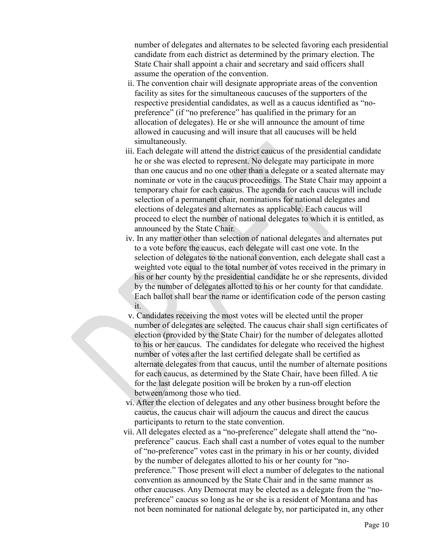number of delegates and alternates to be selected favoring each presidential candidate from each district as determined by the primary election. The State Chair shall appoint a chair and secretary and said officers shall assume the operation of the convention.

- ii. The convention chair will designate appropriate areas of the convention facility as sites for the simultaneous caucuses of the supporters of the respective presidential candidates, as well as a caucus identified as "nopreference" (if "no preference" has qualified in the primary for an allocation of delegates). He or she will announce the amount of time allowed in caucusing and will insure that all caucuses will be held simultaneously.
- iii. Each delegate will attend the district caucus of the presidential candidate he or she was elected to represent. No delegate may participate in more than one caucus and no one other than a delegate or a seated alternate may nominate or vote in the caucus proceedings. The State Chair may appoint a temporary chair for each caucus. The agenda for each caucus will include selection of a permanent chair, nominations for national delegates and elections of delegates and alternates as applicable. Each caucus will proceed to elect the number of national delegates to which it is entitled, as announced by the State Chair.
- iv. In any matter other than selection of national delegates and alternates put to a vote before the caucus, each delegate will cast one vote. In the selection of delegates to the national convention, each delegate shall cast a weighted vote equal to the total number of votes received in the primary in his or her county by the presidential candidate he or she represents, divided by the number of delegates allotted to his or her county for that candidate. Each ballot shall bear the name or identification code of the person casting it.
- v. Candidates receiving the most votes will be elected until the proper number of delegates are selected. The caucus chair shall sign certificates of election (provided by the State Chair) for the number of delegates allotted to his or her caucus. The candidates for delegate who received the highest number of votes after the last certified delegate shall be certified as alternate delegates from that caucus, until the number of alternate positions for each caucus, as determined by the State Chair, have been filled. A tie for the last delegate position will be broken by a run-off election between/among those who tied.
- vi. After the election of delegates and any other business brought before the caucus, the caucus chair will adjourn the caucus and direct the caucus participants to return to the state convention.
- vii. All delegates elected as a "no-preference" delegate shall attend the "nopreference" caucus. Each shall cast a number of votes equal to the number of "no-preference" votes cast in the primary in his or her county, divided by the number of delegates allotted to his or her county for "nopreference." Those present will elect a number of delegates to the national convention as announced by the State Chair and in the same manner as other caucuses. Any Democrat may be elected as a delegate from the "nopreference" caucus so long as he or she is a resident of Montana and has not been nominated for national delegate by, nor participated in, any other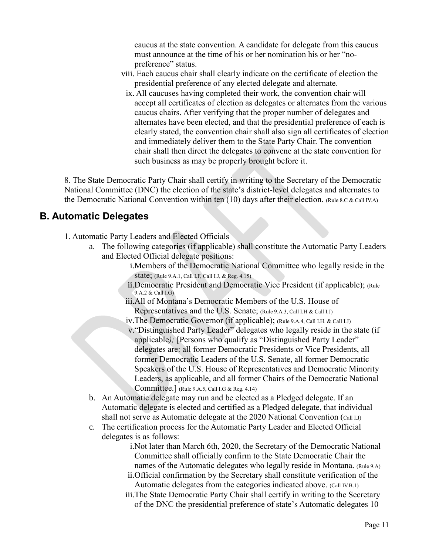caucus at the state convention. A candidate for delegate from this caucus must announce at the time of his or her nomination his or her "nopreference" status.

- viii. Each caucus chair shall clearly indicate on the certificate of election the presidential preference of any elected delegate and alternate.
	- ix. All caucuses having completed their work, the convention chair will accept all certificates of election as delegates or alternates from the various caucus chairs. After verifying that the proper number of delegates and alternates have been elected, and that the presidential preference of each is clearly stated, the convention chair shall also sign all certificates of election and immediately deliver them to the State Party Chair. The convention chair shall then direct the delegates to convene at the state convention for such business as may be properly brought before it.

8. The State Democratic Party Chair shall certify in writing to the Secretary of the Democratic National Committee (DNC) the election of the state's district-level delegates and alternates to the Democratic National Convention within ten  $(10)$  days after their election. (Rule 8.C & Call IV.A)

#### <span id="page-10-0"></span>**B. Automatic Delegates**

1. Automatic Party Leaders and Elected Officials

- a. The following categories (if applicable) shall constitute the Automatic Party Leaders and Elected Official delegate positions:
	- i.Members of the Democratic National Committee who legally reside in the state; (Rule 9.A.1, Call I.F, Call I.J, & Reg. 4.15)
	- ii.Democratic President and Democratic Vice President (if applicable); (Rule 9.A.2 & Call I.G)
	- iii.All of Montana's Democratic Members of the U.S. House of Representatives and the U.S. Senate; (Rule 9.A.3, Call I.H & Call I.J)
	- iv.The Democratic Governor (if applicable); (Rule 9.A.4, Call I.H. & Call I.J)
	- v."Distinguished Party Leader" delegates who legally reside in the state (if applicable); [Persons who qualify as "Distinguished Party Leader" delegates are: all former Democratic Presidents or Vice Presidents, all former Democratic Leaders of the U.S. Senate, all former Democratic Speakers of the U.S. House of Representatives and Democratic Minority Leaders, as applicable, and all former Chairs of the Democratic National Committee.] (Rule 9.A.5, Call I.G & Reg. 4.14)
- b. An Automatic delegate may run and be elected as a Pledged delegate. If an Automatic delegate is elected and certified as a Pledged delegate, that individual shall not serve as Automatic delegate at the 2020 National Convention (Call LJ)
- c. The certification process for the Automatic Party Leader and Elected Official delegates is as follows:
	- i.Not later than March 6th, 2020, the Secretary of the Democratic National Committee shall officially confirm to the State Democratic Chair the names of the Automatic delegates who legally reside in Montana. (Rule 9.A)
	- ii.Official confirmation by the Secretary shall constitute verification of the Automatic delegates from the categories indicated above. (Call IV.B.1)
	- iii.The State Democratic Party Chair shall certify in writing to the Secretary of the DNC the presidential preference of state's Automatic delegates 10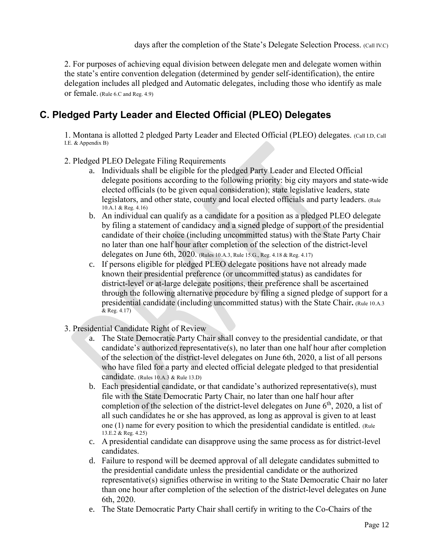days after the completion of the State's Delegate Selection Process. (Call IV.C)

2. For purposes of achieving equal division between delegate men and delegate women within the state's entire convention delegation (determined by gender self-identification), the entire delegation includes all pledged and Automatic delegates, including those who identify as male or female. (Rule 6.C and Reg. 4.9)

#### <span id="page-11-0"></span>**C. Pledged Party Leader and Elected Official (PLEO) Delegates**

1. Montana is allotted 2 pledged Party Leader and Elected Official (PLEO) delegates. (Call I.D, Call I.E. & Appendix B)

- 2. Pledged PLEO Delegate Filing Requirements
	- a. Individuals shall be eligible for the pledged Party Leader and Elected Official delegate positions according to the following priority: big city mayors and state-wide elected officials (to be given equal consideration); state legislative leaders, state legislators, and other state, county and local elected officials and party leaders. (Rule 10.A.1 & Reg. 4.16)
	- b. An individual can qualify as a candidate for a position as a pledged PLEO delegate by filing a statement of candidacy and a signed pledge of support of the presidential candidate of their choice (including uncommitted status) with the State Party Chair no later than one half hour after completion of the selection of the district-level delegates on June 6th, 2020. (Rules 10.A.3, Rule 15.G., Reg. 4.18 & Reg. 4.17)
	- c. If persons eligible for pledged PLEO delegate positions have not already made known their presidential preference (or uncommitted status) as candidates for district-level or at-large delegate positions, their preference shall be ascertained through the following alternative procedure by filing a signed pledge of support for a presidential candidate (including uncommitted status) with the State Chair**.** (Rule 10.A.3 & Reg. 4.17)
- 3. Presidential Candidate Right of Review
	- a. The State Democratic Party Chair shall convey to the presidential candidate, or that candidate's authorized representative(s), no later than one half hour after completion of the selection of the district-level delegates on June 6th, 2020, a list of all persons who have filed for a party and elected official delegate pledged to that presidential candidate. (Rules 10.A.3 & Rule 13.D)
	- b. Each presidential candidate, or that candidate's authorized representative(s), must file with the State Democratic Party Chair, no later than one half hour after completion of the selection of the district-level delegates on June  $6<sup>th</sup>$ , 2020, a list of all such candidates he or she has approved, as long as approval is given to at least one (1) name for every position to which the presidential candidate is entitled. (Rule 13.E.2 & Reg. 4.25)
	- c. A presidential candidate can disapprove using the same process as for district-level candidates.
	- d. Failure to respond will be deemed approval of all delegate candidates submitted to the presidential candidate unless the presidential candidate or the authorized representative(s) signifies otherwise in writing to the State Democratic Chair no later than one hour after completion of the selection of the district-level delegates on June 6th, 2020.
	- e. The State Democratic Party Chair shall certify in writing to the Co-Chairs of the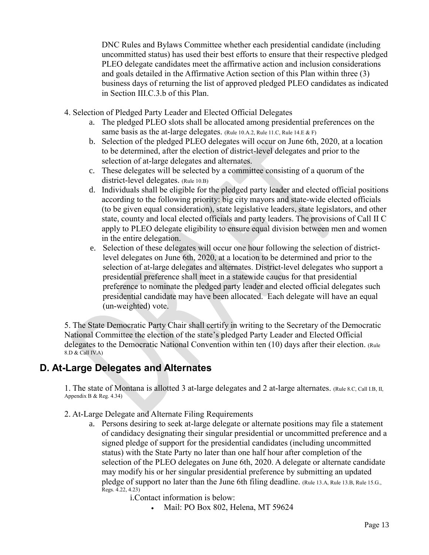DNC Rules and Bylaws Committee whether each presidential candidate (including uncommitted status) has used their best efforts to ensure that their respective pledged PLEO delegate candidates meet the affirmative action and inclusion considerations and goals detailed in the Affirmative Action section of this Plan within three (3) business days of returning the list of approved pledged PLEO candidates as indicated in Section III.C.3.b of this Plan.

- 4. Selection of Pledged Party Leader and Elected Official Delegates
	- a. The pledged PLEO slots shall be allocated among presidential preferences on the same basis as the at-large delegates. (Rule 10.A.2, Rule 11.C, Rule 14.E & F)
	- b. Selection of the pledged PLEO delegates will occur on June 6th, 2020, at a location to be determined, after the election of district-level delegates and prior to the selection of at-large delegates and alternates.
	- c. These delegates will be selected by a committee consisting of a quorum of the district-level delegates. (Rule 10.B)
	- d. Individuals shall be eligible for the pledged party leader and elected official positions according to the following priority: big city mayors and state-wide elected officials (to be given equal consideration), state legislative leaders, state legislators, and other state, county and local elected officials and party leaders. The provisions of Call II C apply to PLEO delegate eligibility to ensure equal division between men and women in the entire delegation.
	- e. Selection of these delegates will occur one hour following the selection of districtlevel delegates on June 6th, 2020, at a location to be determined and prior to the selection of at-large delegates and alternates. District-level delegates who support a presidential preference shall meet in a statewide caucus for that presidential preference to nominate the pledged party leader and elected official delegates such presidential candidate may have been allocated. Each delegate will have an equal (un-weighted) vote.

5. The State Democratic Party Chair shall certify in writing to the Secretary of the Democratic National Committee the election of the state's pledged Party Leader and Elected Official delegates to the Democratic National Convention within ten (10) days after their election. (Rule  $8.D & Call IV.A$ 

## <span id="page-12-0"></span>**D. At-Large Delegates and Alternates**

1. The state of Montana is allotted 3 at-large delegates and 2 at-large alternates. (Rule 8.C, Call I.B, II, Appendix B & Reg. 4.34)

- 2. At-Large Delegate and Alternate Filing Requirements
	- a. Persons desiring to seek at-large delegate or alternate positions may file a statement of candidacy designating their singular presidential or uncommitted preference and a signed pledge of support for the presidential candidates (including uncommitted status) with the State Party no later than one half hour after completion of the selection of the PLEO delegates on June 6th, 2020. A delegate or alternate candidate may modify his or her singular presidential preference by submitting an updated pledge of support no later than the June 6th filing deadline. (Rule 13.A, Rule 13.B, Rule 15.G., Regs. 4.22, 4.23)

i.Contact information is below:

• Mail: PO Box 802, Helena, MT 59624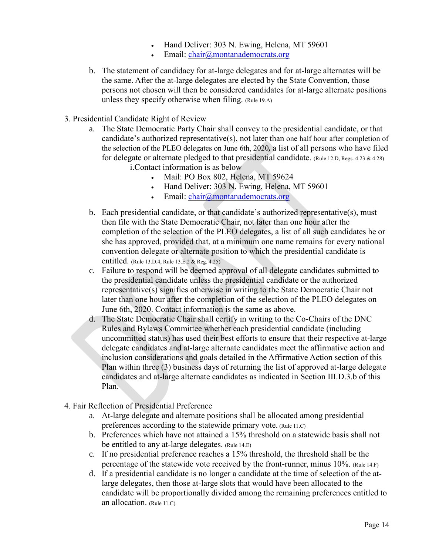- Hand Deliver: 303 N. Ewing, Helena, MT 59601
- Email: [chair@montanademocrats.org](mailto:chair@montanademocrats.org)
- b. The statement of candidacy for at-large delegates and for at-large alternates will be the same. After the at-large delegates are elected by the State Convention, those persons not chosen will then be considered candidates for at-large alternate positions unless they specify otherwise when filing. (Rule 19.A)
- 3. Presidential Candidate Right of Review
	- a. The State Democratic Party Chair shall convey to the presidential candidate, or that candidate's authorized representative(s), not later than one half hour after completion of the selection of the PLEO delegates on June 6th, 2020*,* a list of all persons who have filed for delegate or alternate pledged to that presidential candidate. (Rule 12.D, Regs. 4.23 & 4.28) i.Contact information is as below
		- Mail: PO Box 802, Helena, MT 59624
		- Hand Deliver: 303 N. Ewing, Helena, MT 59601
		- Email: [chair@montanademocrats.org](mailto:chair@montanademocrats.org)
	- b. Each presidential candidate, or that candidate's authorized representative(s), must then file with the State Democratic Chair, not later than one hour after the completion of the selection of the PLEO delegates, a list of all such candidates he or she has approved, provided that, at a minimum one name remains for every national convention delegate or alternate position to which the presidential candidate is entitled. (Rule 13.D.4, Rule 13.E.2 & Reg. 4.25)
	- c. Failure to respond will be deemed approval of all delegate candidates submitted to the presidential candidate unless the presidential candidate or the authorized representative(s) signifies otherwise in writing to the State Democratic Chair not later than one hour after the completion of the selection of the PLEO delegates on June 6th, 2020. Contact information is the same as above.
	- d. The State Democratic Chair shall certify in writing to the Co-Chairs of the DNC Rules and Bylaws Committee whether each presidential candidate (including uncommitted status) has used their best efforts to ensure that their respective at-large delegate candidates and at-large alternate candidates meet the affirmative action and inclusion considerations and goals detailed in the Affirmative Action section of this Plan within three (3) business days of returning the list of approved at-large delegate candidates and at-large alternate candidates as indicated in Section III.D.3.b of this Plan.
- 4. Fair Reflection of Presidential Preference
	- a. At-large delegate and alternate positions shall be allocated among presidential preferences according to the statewide primary vote. (Rule 11.C)
	- b. Preferences which have not attained a 15% threshold on a statewide basis shall not be entitled to any at-large delegates. (Rule 14.E)
	- c. If no presidential preference reaches a 15% threshold, the threshold shall be the percentage of the statewide vote received by the front-runner, minus 10%. (Rule 14.F)
	- d. If a presidential candidate is no longer a candidate at the time of selection of the atlarge delegates, then those at-large slots that would have been allocated to the candidate will be proportionally divided among the remaining preferences entitled to an allocation. (Rule 11.C)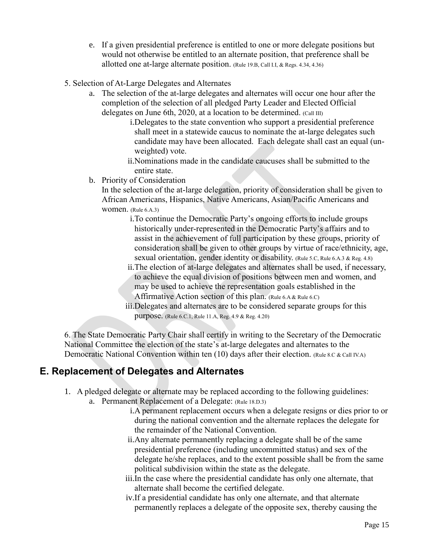- e. If a given presidential preference is entitled to one or more delegate positions but would not otherwise be entitled to an alternate position, that preference shall be allotted one at-large alternate position. (Rule 19.B, Call I.I, & Regs. 4.34, 4.36)
- 5. Selection of At-Large Delegates and Alternates
	- a. The selection of the at-large delegates and alternates will occur one hour after the completion of the selection of all pledged Party Leader and Elected Official delegates on June 6th, 2020, at a location to be determined. (Call III)
		- i.Delegates to the state convention who support a presidential preference shall meet in a statewide caucus to nominate the at-large delegates such candidate may have been allocated. Each delegate shall cast an equal (unweighted) vote.
		- ii.Nominations made in the candidate caucuses shall be submitted to the entire state.
	- b. Priority of Consideration

In the selection of the at-large delegation, priority of consideration shall be given to African Americans, Hispanics, Native Americans, Asian/Pacific Americans and women. (Rule 6.A.3)

- i.To continue the Democratic Party's ongoing efforts to include groups historically under-represented in the Democratic Party's affairs and to assist in the achievement of full participation by these groups, priority of consideration shall be given to other groups by virtue of race/ethnicity, age, sexual orientation, gender identity or disability. (Rule 5.C, Rule 6.A.3 & Reg. 4.8)
- ii.The election of at-large delegates and alternates shall be used, if necessary, to achieve the equal division of positions between men and women, and may be used to achieve the representation goals established in the Affirmative Action section of this plan. (Rule 6.A & Rule 6.C)
- iii.Delegates and alternates are to be considered separate groups for this purpose. (Rule 6.C.1, Rule 11.A, Reg. 4.9 & Reg. 4.20)

6. The State Democratic Party Chair shall certify in writing to the Secretary of the Democratic National Committee the election of the state's at-large delegates and alternates to the Democratic National Convention within ten (10) days after their election. (Rule 8.C & Call IV.A)

#### <span id="page-14-0"></span>**E. Replacement of Delegates and Alternates**

- 1. A pledged delegate or alternate may be replaced according to the following guidelines:
	- a. Permanent Replacement of a Delegate: (Rule 18.D.3)
		- i.A permanent replacement occurs when a delegate resigns or dies prior to or during the national convention and the alternate replaces the delegate for the remainder of the National Convention.
		- ii.Any alternate permanently replacing a delegate shall be of the same presidential preference (including uncommitted status) and sex of the delegate he/she replaces, and to the extent possible shall be from the same political subdivision within the state as the delegate.
		- iii.In the case where the presidential candidate has only one alternate, that alternate shall become the certified delegate.
		- iv.If a presidential candidate has only one alternate, and that alternate permanently replaces a delegate of the opposite sex, thereby causing the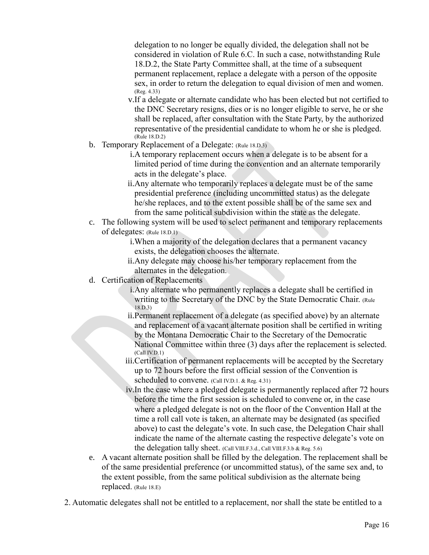delegation to no longer be equally divided, the delegation shall not be considered in violation of Rule 6.C. In such a case, notwithstanding Rule 18.D.2, the State Party Committee shall, at the time of a subsequent permanent replacement, replace a delegate with a person of the opposite sex, in order to return the delegation to equal division of men and women. (Reg. 4.33)

- v.If a delegate or alternate candidate who has been elected but not certified to the DNC Secretary resigns, dies or is no longer eligible to serve, he or she shall be replaced, after consultation with the State Party, by the authorized representative of the presidential candidate to whom he or she is pledged. (Rule 18.D.2)
- b. Temporary Replacement of a Delegate: (Rule 18.D.3)
	- i.A temporary replacement occurs when a delegate is to be absent for a limited period of time during the convention and an alternate temporarily acts in the delegate's place.
	- ii.Any alternate who temporarily replaces a delegate must be of the same presidential preference (including uncommitted status) as the delegate he/she replaces, and to the extent possible shall be of the same sex and from the same political subdivision within the state as the delegate.
- c. The following system will be used to select permanent and temporary replacements of delegates: (Rule 18.D.1)
	- i.When a majority of the delegation declares that a permanent vacancy exists, the delegation chooses the alternate.
	- ii.Any delegate may choose his/her temporary replacement from the alternates in the delegation.
- d. Certification of Replacements
	- i.Any alternate who permanently replaces a delegate shall be certified in writing to the Secretary of the DNC by the State Democratic Chair. (Rule) 18.D.3)
	- ii.Permanent replacement of a delegate (as specified above) by an alternate and replacement of a vacant alternate position shall be certified in writing by the Montana Democratic Chair to the Secretary of the Democratic National Committee within three (3) days after the replacement is selected.  $(Call IV.D.1)$
	- iii.Certification of permanent replacements will be accepted by the Secretary up to 72 hours before the first official session of the Convention is scheduled to convene. (Call IV.D.1. & Reg. 4.31)
	- iv.In the case where a pledged delegate is permanently replaced after 72 hours before the time the first session is scheduled to convene or, in the case where a pledged delegate is not on the floor of the Convention Hall at the time a roll call vote is taken, an alternate may be designated (as specified above) to cast the delegate's vote. In such case, the Delegation Chair shall indicate the name of the alternate casting the respective delegate's vote on the delegation tally sheet. (Call VIII.F.3.d., Call VIII.F.3.b & Reg. 5.6)
- e. A vacant alternate position shall be filled by the delegation. The replacement shall be of the same presidential preference (or uncommitted status), of the same sex and, to the extent possible, from the same political subdivision as the alternate being replaced. (Rule 18.E)
- 2. Automatic delegates shall not be entitled to a replacement, nor shall the state be entitled to a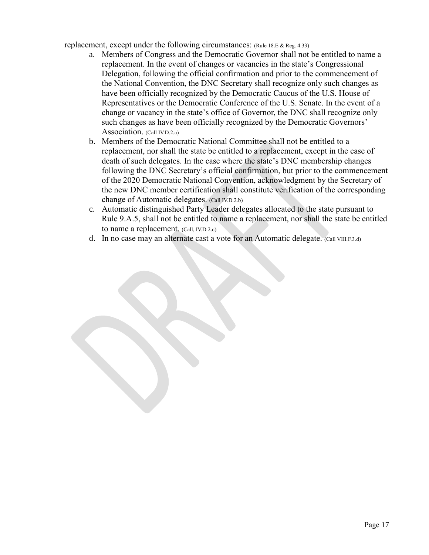replacement, except under the following circumstances: (Rule 18.E & Reg. 4.33)

- a. Members of Congress and the Democratic Governor shall not be entitled to name a replacement. In the event of changes or vacancies in the state's Congressional Delegation, following the official confirmation and prior to the commencement of the National Convention, the DNC Secretary shall recognize only such changes as have been officially recognized by the Democratic Caucus of the U.S. House of Representatives or the Democratic Conference of the U.S. Senate. In the event of a change or vacancy in the state's office of Governor, the DNC shall recognize only such changes as have been officially recognized by the Democratic Governors' Association. (Call IV.D.2.a)
- b. Members of the Democratic National Committee shall not be entitled to a replacement, nor shall the state be entitled to a replacement, except in the case of death of such delegates. In the case where the state's DNC membership changes following the DNC Secretary's official confirmation, but prior to the commencement of the 2020 Democratic National Convention, acknowledgment by the Secretary of the new DNC member certification shall constitute verification of the corresponding change of Automatic delegates. (Call IV.D.2.b)
- c. Automatic distinguished Party Leader delegates allocated to the state pursuant to Rule 9.A.5, shall not be entitled to name a replacement, nor shall the state be entitled to name a replacement. (Call, IV.D.2.c)
- d. In no case may an alternate cast a vote for an Automatic delegate. (Call VIII.F.3.d)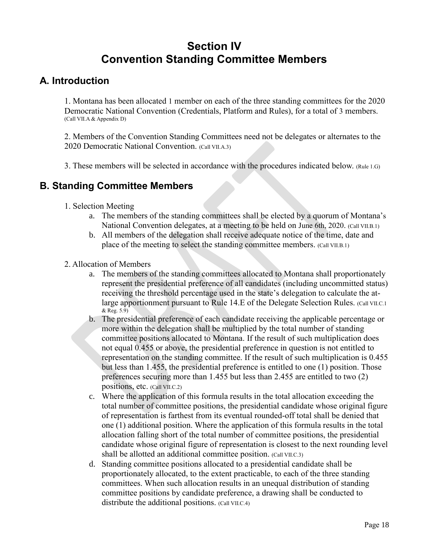## **Section IV Convention Standing Committee Members**

#### <span id="page-17-1"></span><span id="page-17-0"></span>**A. Introduction**

1. Montana has been allocated 1 member on each of the three standing committees for the 2020 Democratic National Convention (Credentials, Platform and Rules), for a total of 3 members. (Call VII.A & Appendix D)

2. Members of the Convention Standing Committees need not be delegates or alternates to the 2020 Democratic National Convention. (Call VII.A.3)

3. These members will be selected in accordance with the procedures indicated below. (Rule 1.G)

#### <span id="page-17-2"></span>**B. Standing Committee Members**

- 1. Selection Meeting
	- a. The members of the standing committees shall be elected by a quorum of Montana's National Convention delegates, at a meeting to be held on June 6th, 2020. (Call VII.B.1)
	- b. All members of the delegation shall receive adequate notice of the time, date and place of the meeting to select the standing committee members. (Call VII.B.1)
- 2. Allocation of Members
	- a. The members of the standing committees allocated to Montana shall proportionately represent the presidential preference of all candidates (including uncommitted status) receiving the threshold percentage used in the state's delegation to calculate the atlarge apportionment pursuant to Rule 14.E of the Delegate Selection Rules. (Call VII.C.1) & Reg. 5.9)
	- b. The presidential preference of each candidate receiving the applicable percentage or more within the delegation shall be multiplied by the total number of standing committee positions allocated to Montana. If the result of such multiplication does not equal 0.455 or above, the presidential preference in question is not entitled to representation on the standing committee. If the result of such multiplication is 0.455 but less than 1.455, the presidential preference is entitled to one (1) position. Those preferences securing more than 1.455 but less than 2.455 are entitled to two (2) positions, etc. (Call VII.C.2)
	- c. Where the application of this formula results in the total allocation exceeding the total number of committee positions, the presidential candidate whose original figure of representation is farthest from its eventual rounded-off total shall be denied that one (1) additional position. Where the application of this formula results in the total allocation falling short of the total number of committee positions, the presidential candidate whose original figure of representation is closest to the next rounding level shall be allotted an additional committee position. (Call VII.C.3)
	- d. Standing committee positions allocated to a presidential candidate shall be proportionately allocated, to the extent practicable, to each of the three standing committees. When such allocation results in an unequal distribution of standing committee positions by candidate preference, a drawing shall be conducted to distribute the additional positions. (Call VII.C.4)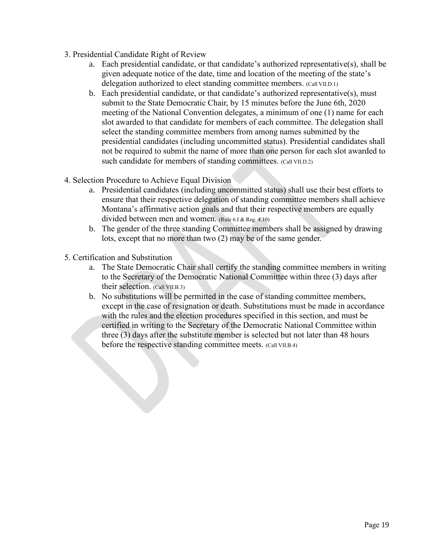- 3. Presidential Candidate Right of Review
	- a. Each presidential candidate, or that candidate's authorized representative(s), shall be given adequate notice of the date, time and location of the meeting of the state's delegation authorized to elect standing committee members. (Call VII.D.1)
	- b. Each presidential candidate, or that candidate's authorized representative(s), must submit to the State Democratic Chair, by 15 minutes before the June 6th, 2020 meeting of the National Convention delegates, a minimum of one (1) name for each slot awarded to that candidate for members of each committee. The delegation shall select the standing committee members from among names submitted by the presidential candidates (including uncommitted status). Presidential candidates shall not be required to submit the name of more than one person for each slot awarded to such candidate for members of standing committees. (Call VII.D.2)
- 4. Selection Procedure to Achieve Equal Division
	- a. Presidential candidates (including uncommitted status) shall use their best efforts to ensure that their respective delegation of standing committee members shall achieve Montana's affirmative action goals and that their respective members are equally divided between men and women. (Rule 6.I & Reg. 4.10)
	- b. The gender of the three standing Committee members shall be assigned by drawing lots, except that no more than two (2) may be of the same gender.
- 5. Certification and Substitution
	- a. The State Democratic Chair shall certify the standing committee members in writing to the Secretary of the Democratic National Committee within three (3) days after their selection. (Call VII.B.3)
	- b. No substitutions will be permitted in the case of standing committee members, except in the case of resignation or death. Substitutions must be made in accordance with the rules and the election procedures specified in this section, and must be certified in writing to the Secretary of the Democratic National Committee within three (3) days after the substitute member is selected but not later than 48 hours before the respective standing committee meets. (Call VII.B.4)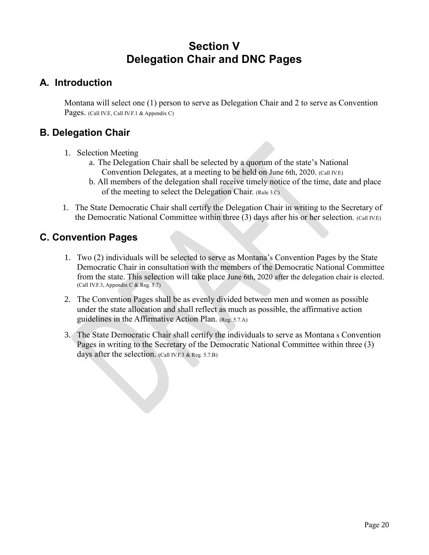## **Section V Delegation Chair and DNC Pages**

#### <span id="page-19-1"></span><span id="page-19-0"></span>**A. Introduction**

Montana will select one (1) person to serve as Delegation Chair and 2 to serve as Convention Pages. (Call IV.E, Call IV.F.1 & Appendix C)

#### <span id="page-19-2"></span>**B. Delegation Chair**

- 1. Selection Meeting
	- a. The Delegation Chair shall be selected by a quorum of the state's National Convention Delegates, at a meeting to be held on June 6th, 2020. (Call IV.E)
	- b. All members of the delegation shall receive timely notice of the time, date and place of the meeting to select the Delegation Chair. (Rule 3.C)
- 1. The State Democratic Chair shall certify the Delegation Chair in writing to the Secretary of the Democratic National Committee within three (3) days after his or her selection. (Call IV.E)

#### <span id="page-19-3"></span>**C. Convention Pages**

- 1. Two (2) individuals will be selected to serve as Montana's Convention Pages by the State Democratic Chair in consultation with the members of the Democratic National Committee from the state. This selection will take place June 6th, 2020 after the delegation chair is elected. (Call IV.F.3, Appendix C & Reg. 5.7)
- 2. The Convention Pages shall be as evenly divided between men and women as possible under the state allocation and shall reflect as much as possible, the affirmative action guidelines in the Affirmative Action Plan. (Reg. 5.7.A)
- 3. The State Democratic Chair shall certify the individuals to serve as Montana s Convention Pages in writing to the Secretary of the Democratic National Committee within three (3) days after the selection. (Call IV.F.3 & Reg. 5.7.B)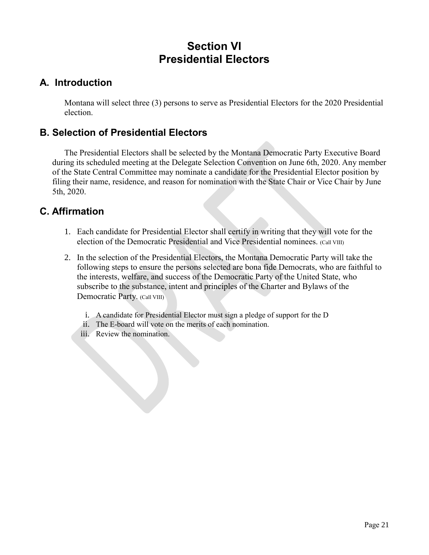## **Section VI Presidential Electors**

#### **A. Introduction**

Montana will select three (3) persons to serve as Presidential Electors for the 2020 Presidential election.

#### **B. Selection of Presidential Electors**

The Presidential Electors shall be selected by the Montana Democratic Party Executive Board during its scheduled meeting at the Delegate Selection Convention on June 6th, 2020. Any member of the State Central Committee may nominate a candidate for the Presidential Elector position by filing their name, residence, and reason for nomination with the State Chair or Vice Chair by June 5th, 2020.

#### **C. Affirmation**

- 1. Each candidate for Presidential Elector shall certify in writing that they will vote for the election of the Democratic Presidential and Vice Presidential nominees. (Call VIII)
- 2. In the selection of the Presidential Electors, the Montana Democratic Party will take the following steps to ensure the persons selected are bona fide Democrats, who are faithful to the interests, welfare, and success of the Democratic Party of the United State, who subscribe to the substance, intent and principles of the Charter and Bylaws of the Democratic Party. (Call VIII)
	- i. A candidate for Presidential Elector must sign a pledge of support for the D
	- ii. The E-board will vote on the merits of each nomination.
	- iii. Review the nomination.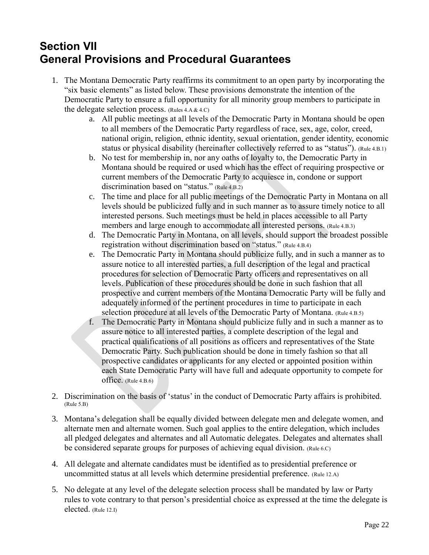## <span id="page-21-0"></span>**Section VII General Provisions and Procedural Guarantees**

- 1. The Montana Democratic Party reaffirms its commitment to an open party by incorporating the "six basic elements" as listed below. These provisions demonstrate the intention of the Democratic Party to ensure a full opportunity for all minority group members to participate in the delegate selection process.  $(Rules 4.A & 4.C)$ 
	- a. All public meetings at all levels of the Democratic Party in Montana should be open to all members of the Democratic Party regardless of race, sex, age, color, creed, national origin, religion, ethnic identity, sexual orientation, gender identity, economic status or physical disability (hereinafter collectively referred to as "status"). (Rule 4.B.1)
	- b. No test for membership in, nor any oaths of loyalty to, the Democratic Party in Montana should be required or used which has the effect of requiring prospective or current members of the Democratic Party to acquiesce in, condone or support discrimination based on "status." (Rule 4.B.2)
	- c. The time and place for all public meetings of the Democratic Party in Montana on all levels should be publicized fully and in such manner as to assure timely notice to all interested persons. Such meetings must be held in places accessible to all Party members and large enough to accommodate all interested persons. (Rule 4.B.3)
	- d. The Democratic Party in Montana, on all levels, should support the broadest possible registration without discrimination based on "status." (Rule 4.B.4)
	- e. The Democratic Party in Montana should publicize fully, and in such a manner as to assure notice to all interested parties, a full description of the legal and practical procedures for selection of Democratic Party officers and representatives on all levels. Publication of these procedures should be done in such fashion that all prospective and current members of the Montana Democratic Party will be fully and adequately informed of the pertinent procedures in time to participate in each selection procedure at all levels of the Democratic Party of Montana. (Rule 4.B.5)
	- f. The Democratic Party in Montana should publicize fully and in such a manner as to assure notice to all interested parties, a complete description of the legal and practical qualifications of all positions as officers and representatives of the State Democratic Party. Such publication should be done in timely fashion so that all prospective candidates or applicants for any elected or appointed position within each State Democratic Party will have full and adequate opportunity to compete for office. (Rule 4.B.6)
- 2. Discrimination on the basis of 'status' in the conduct of Democratic Party affairs is prohibited. (Rule 5.B)
- 3. Montana's delegation shall be equally divided between delegate men and delegate women, and alternate men and alternate women. Such goal applies to the entire delegation, which includes all pledged delegates and alternates and all Automatic delegates. Delegates and alternates shall be considered separate groups for purposes of achieving equal division. (Rule 6.C)
- 4. All delegate and alternate candidates must be identified as to presidential preference or uncommitted status at all levels which determine presidential preference. (Rule 12.A)
- 5. No delegate at any level of the delegate selection process shall be mandated by law or Party rules to vote contrary to that person's presidential choice as expressed at the time the delegate is elected. (Rule 12.I)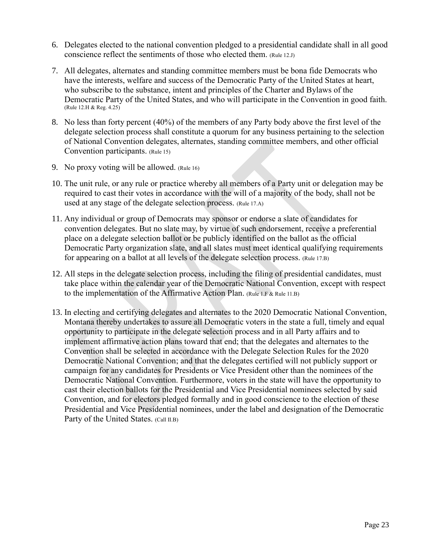- 6. Delegates elected to the national convention pledged to a presidential candidate shall in all good conscience reflect the sentiments of those who elected them. (Rule 12.J)
- 7. All delegates, alternates and standing committee members must be bona fide Democrats who have the interests, welfare and success of the Democratic Party of the United States at heart, who subscribe to the substance, intent and principles of the Charter and Bylaws of the Democratic Party of the United States, and who will participate in the Convention in good faith. (Rule 12.H & Reg. 4.25)
- 8. No less than forty percent (40%) of the members of any Party body above the first level of the delegate selection process shall constitute a quorum for any business pertaining to the selection of National Convention delegates, alternates, standing committee members, and other official Convention participants. (Rule 15)
- 9. No proxy voting will be allowed. (Rule 16)
- 10. The unit rule, or any rule or practice whereby all members of a Party unit or delegation may be required to cast their votes in accordance with the will of a majority of the body, shall not be used at any stage of the delegate selection process. (Rule 17.A)
- 11. Any individual or group of Democrats may sponsor or endorse a slate of candidates for convention delegates. But no slate may, by virtue of such endorsement, receive a preferential place on a delegate selection ballot or be publicly identified on the ballot as the official Democratic Party organization slate, and all slates must meet identical qualifying requirements for appearing on a ballot at all levels of the delegate selection process. (Rule 17.B)
- 12. All steps in the delegate selection process, including the filing of presidential candidates, must take place within the calendar year of the Democratic National Convention, except with respect to the implementation of the Affirmative Action Plan. (Rule 1.F & Rule 11.B)
- 13. In electing and certifying delegates and alternates to the 2020 Democratic National Convention, Montana thereby undertakes to assure all Democratic voters in the state a full, timely and equal opportunity to participate in the delegate selection process and in all Party affairs and to implement affirmative action plans toward that end; that the delegates and alternates to the Convention shall be selected in accordance with the Delegate Selection Rules for the 2020 Democratic National Convention; and that the delegates certified will not publicly support or campaign for any candidates for Presidents or Vice President other than the nominees of the Democratic National Convention. Furthermore, voters in the state will have the opportunity to cast their election ballots for the Presidential and Vice Presidential nominees selected by said Convention, and for electors pledged formally and in good conscience to the election of these Presidential and Vice Presidential nominees, under the label and designation of the Democratic Party of the United States. (Call II.B)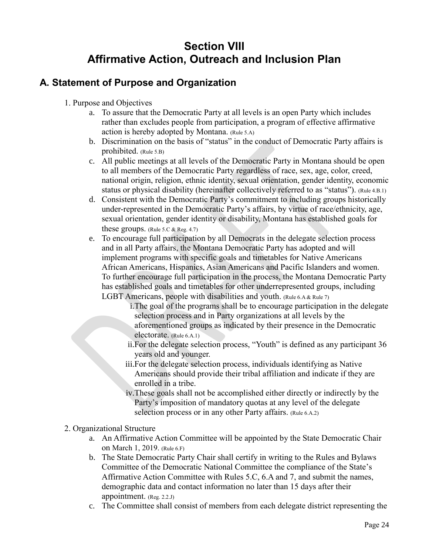## **Section VIII Affirmative Action, Outreach and Inclusion Plan**

#### <span id="page-23-1"></span><span id="page-23-0"></span>**A. Statement of Purpose and Organization**

- 1. Purpose and Objectives
	- a. To assure that the Democratic Party at all levels is an open Party which includes rather than excludes people from participation, a program of effective affirmative action is hereby adopted by Montana. (Rule 5.A)
	- b. Discrimination on the basis of "status" in the conduct of Democratic Party affairs is prohibited. (Rule 5.B)
	- c. All public meetings at all levels of the Democratic Party in Montana should be open to all members of the Democratic Party regardless of race, sex, age, color, creed, national origin, religion, ethnic identity, sexual orientation, gender identity, economic status or physical disability (hereinafter collectively referred to as "status"). (Rule 4.B.1)
	- d. Consistent with the Democratic Party's commitment to including groups historically under-represented in the Democratic Party's affairs, by virtue of race/ethnicity, age, sexual orientation, gender identity or disability, Montana has established goals for these groups. (Rule  $5.C & Reg. 4.7$ )
	- e. To encourage full participation by all Democrats in the delegate selection process and in all Party affairs, the Montana Democratic Party has adopted and will implement programs with specific goals and timetables for Native Americans African Americans, Hispanics, Asian Americans and Pacific Islanders and women. To further encourage full participation in the process, the Montana Democratic Party has established goals and timetables for other underrepresented groups, including LGBT Americans, people with disabilities and youth. (Rule 6.A & Rule 7)
		- i.The goal of the programs shall be to encourage participation in the delegate selection process and in Party organizations at all levels by the aforementioned groups as indicated by their presence in the Democratic electorate. (Rule 6.A.1)
		- ii.For the delegate selection process, "Youth" is defined as any participant 36 years old and younger.
		- iii.For the delegate selection process, individuals identifying as Native Americans should provide their tribal affiliation and indicate if they are enrolled in a tribe.
		- iv.These goals shall not be accomplished either directly or indirectly by the Party's imposition of mandatory quotas at any level of the delegate selection process or in any other Party affairs. (Rule 6.A.2)
- 2. Organizational Structure
	- a. An Affirmative Action Committee will be appointed by the State Democratic Chair on March 1, 2019. (Rule 6.F)
	- b. The State Democratic Party Chair shall certify in writing to the Rules and Bylaws Committee of the Democratic National Committee the compliance of the State's Affirmative Action Committee with Rules 5.C, 6.A and 7, and submit the names, demographic data and contact information no later than 15 days after their appointment. (Reg. 2.2.J)
	- c. The Committee shall consist of members from each delegate district representing the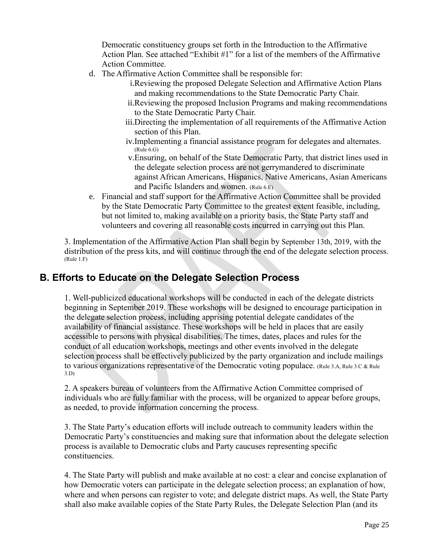Democratic constituency groups set forth in the Introduction to the Affirmative Action Plan. See attached "Exhibit #1" for a list of the members of the Affirmative Action Committee.

- d. The Affirmative Action Committee shall be responsible for:
	- i.Reviewing the proposed Delegate Selection and Affirmative Action Plans and making recommendations to the State Democratic Party Chair.
	- ii.Reviewing the proposed Inclusion Programs and making recommendations to the State Democratic Party Chair.
	- iii.Directing the implementation of all requirements of the Affirmative Action section of this Plan.
	- iv.Implementing a financial assistance program for delegates and alternates.  $(Rule 6.G)$
	- v.Ensuring, on behalf of the State Democratic Party, that district lines used in the delegate selection process are not gerrymandered to discriminate against African Americans, Hispanics, Native Americans, Asian Americans and Pacific Islanders and women. (Rule 6.E)
- e. Financial and staff support for the Affirmative Action Committee shall be provided by the State Democratic Party Committee to the greatest extent feasible, including, but not limited to, making available on a priority basis, the State Party staff and volunteers and covering all reasonable costs incurred in carrying out this Plan.

3. Implementation of the Affirmative Action Plan shall begin by September 13th, 2019, with the distribution of the press kits, and will continue through the end of the delegate selection process. (Rule 1.F)

#### <span id="page-24-0"></span>**B. Efforts to Educate on the Delegate Selection Process**

1. Well-publicized educational workshops will be conducted in each of the delegate districts beginning in September 2019. These workshops will be designed to encourage participation in the delegate selection process, including apprising potential delegate candidates of the availability of financial assistance. These workshops will be held in places that are easily accessible to persons with physical disabilities. The times, dates, places and rules for the conduct of all education workshops, meetings and other events involved in the delegate selection process shall be effectively publicized by the party organization and include mailings to various organizations representative of the Democratic voting populace. (Rule 3.A, Rule 3.C & Rule 3.D)

2. A speakers bureau of volunteers from the Affirmative Action Committee comprised of individuals who are fully familiar with the process, will be organized to appear before groups, as needed, to provide information concerning the process.

3. The State Party's education efforts will include outreach to community leaders within the Democratic Party's constituencies and making sure that information about the delegate selection process is available to Democratic clubs and Party caucuses representing specific constituencies.

4. The State Party will publish and make available at no cost: a clear and concise explanation of how Democratic voters can participate in the delegate selection process; an explanation of how, where and when persons can register to vote; and delegate district maps. As well, the State Party shall also make available copies of the State Party Rules, the Delegate Selection Plan (and its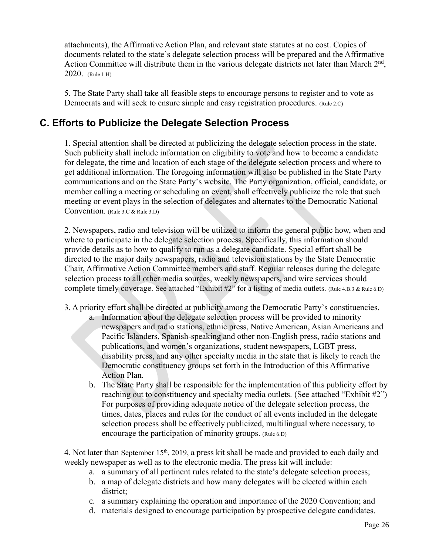attachments), the Affirmative Action Plan, and relevant state statutes at no cost. Copies of documents related to the state's delegate selection process will be prepared and the Affirmative Action Committee will distribute them in the various delegate districts not later than March  $2<sup>nd</sup>$ , 2020. (Rule 1.H)

5. The State Party shall take all feasible steps to encourage persons to register and to vote as Democrats and will seek to ensure simple and easy registration procedures. (Rule 2.C)

#### <span id="page-25-0"></span>**C. Efforts to Publicize the Delegate Selection Process**

1. Special attention shall be directed at publicizing the delegate selection process in the state. Such publicity shall include information on eligibility to vote and how to become a candidate for delegate, the time and location of each stage of the delegate selection process and where to get additional information. The foregoing information will also be published in the State Party communications and on the State Party's website. The Party organization, official, candidate, or member calling a meeting or scheduling an event, shall effectively publicize the role that such meeting or event plays in the selection of delegates and alternates to the Democratic National Convention. (Rule 3.C & Rule 3.D)

2. Newspapers, radio and television will be utilized to inform the general public how, when and where to participate in the delegate selection process. Specifically, this information should provide details as to how to qualify to run as a delegate candidate. Special effort shall be directed to the major daily newspapers, radio and television stations by the State Democratic Chair, Affirmative Action Committee members and staff. Regular releases during the delegate selection process to all other media sources, weekly newspapers, and wire services should complete timely coverage. See attached "Exhibit #2" for a listing of media outlets. (Rule 4.B.3 & Rule 6.D)

- 3. A priority effort shall be directed at publicity among the Democratic Party's constituencies.
	- a. Information about the delegate selection process will be provided to minority newspapers and radio stations, ethnic press, Native American, Asian Americans and Pacific Islanders, Spanish-speaking and other non-English press, radio stations and publications, and women's organizations, student newspapers, LGBT press, disability press, and any other specialty media in the state that is likely to reach the Democratic constituency groups set forth in the Introduction of this Affirmative Action Plan.
	- b. The State Party shall be responsible for the implementation of this publicity effort by reaching out to constituency and specialty media outlets. (See attached "Exhibit #2") For purposes of providing adequate notice of the delegate selection process, the times, dates, places and rules for the conduct of all events included in the delegate selection process shall be effectively publicized, multilingual where necessary, to encourage the participation of minority groups. (Rule 6.D)

4. Not later than September  $15<sup>th</sup>$ , 2019, a press kit shall be made and provided to each daily and weekly newspaper as well as to the electronic media. The press kit will include:

- a. a summary of all pertinent rules related to the state's delegate selection process;
- b. a map of delegate districts and how many delegates will be elected within each district;
- c. a summary explaining the operation and importance of the 2020 Convention; and
- d. materials designed to encourage participation by prospective delegate candidates.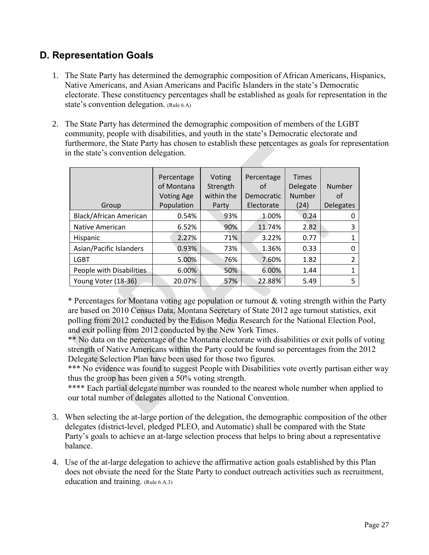## <span id="page-26-0"></span>**D. Representation Goals**

- 1. The State Party has determined the demographic composition of African Americans, Hispanics, Native Americans, and Asian Americans and Pacific Islanders in the state's Democratic electorate. These constituency percentages shall be established as goals for representation in the state's convention delegation. (Rule 6.A)
- 2. The State Party has determined the demographic composition of members of the LGBT community, people with disabilities, and youth in the state's Democratic electorate and furthermore, the State Party has chosen to establish these percentages as goals for representation in the state's convention delegation.

|                          | Percentage<br>of Montana<br><b>Voting Age</b> | Voting<br>Strength<br>within the | Percentage<br>οf<br>Democratic | <b>Times</b><br>Delegate<br>Number | Number<br>οf     |
|--------------------------|-----------------------------------------------|----------------------------------|--------------------------------|------------------------------------|------------------|
| Group                    | Population                                    | Party                            | Electorate                     | (24)                               | <b>Delegates</b> |
| Black/African American   | 0.54%                                         | 93%                              | 1.00%                          | 0.24                               | 0                |
| <b>Native American</b>   | 6.52%                                         | 90%                              | 11.74%                         | 2.82                               | 3                |
| Hispanic                 | 2.27%                                         | 71%                              | 3.22%                          | 0.77                               | 1                |
| Asian/Pacific Islanders  | 0.93%                                         | 73%                              | 1.36%                          | 0.33                               | 0                |
| <b>LGBT</b>              | 5.00%                                         | 76%                              | 7.60%                          | 1.82                               | 2                |
| People with Disabilities | 6.00%                                         | 50%                              | 6.00%                          | 1.44                               | 1                |
| Young Voter (18-36)      | 20.07%                                        | 57%                              | 22.88%                         | 5.49                               | 5                |

\* Percentages for Montana voting age population or turnout & voting strength within the Party are based on 2010 Census Data, Montana Secretary of State 2012 age turnout statistics, exit polling from 2012 conducted by the Edison Media Research for the National Election Pool, and exit polling from 2012 conducted by the New York Times.

\*\* No data on the percentage of the Montana electorate with disabilities or exit polls of voting strength of Native Americans within the Party could be found so percentages from the 2012 Delegate Selection Plan have been used for those two figures.

\*\*\* No evidence was found to suggest People with Disabilities vote overtly partisan either way thus the group has been given a 50% voting strength.

\*\*\*\* Each partial delegate number was rounded to the nearest whole number when applied to our total number of delegates allotted to the National Convention.

- 3. When selecting the at-large portion of the delegation, the demographic composition of the other delegates (district-level, pledged PLEO, and Automatic) shall be compared with the State Party's goals to achieve an at-large selection process that helps to bring about a representative balance.
- <span id="page-26-1"></span>4. Use of the at-large delegation to achieve the affirmative action goals established by this Plan does not obviate the need for the State Party to conduct outreach activities such as recruitment, education and training. (Rule 6.A.3)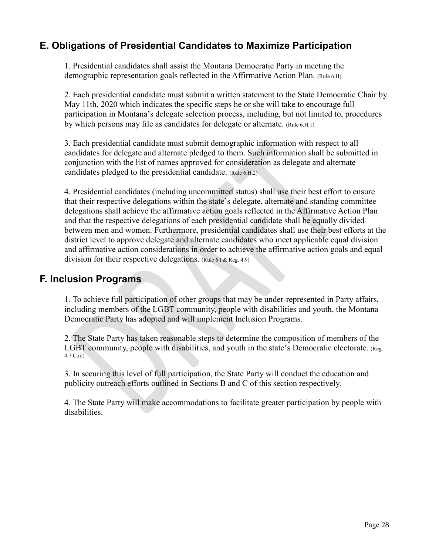#### **E. Obligations of Presidential Candidates to Maximize Participation**

1. Presidential candidates shall assist the Montana Democratic Party in meeting the demographic representation goals reflected in the Affirmative Action Plan. (Rule 6.H)

2. Each presidential candidate must submit a written statement to the State Democratic Chair by May 11th, 2020 which indicates the specific steps he or she will take to encourage full participation in Montana's delegate selection process, including, but not limited to, procedures by which persons may file as candidates for delegate or alternate. (Rule 6.H.1)

3. Each presidential candidate must submit demographic information with respect to all candidates for delegate and alternate pledged to them. Such information shall be submitted in conjunction with the list of names approved for consideration as delegate and alternate candidates pledged to the presidential candidate. (Rule 6.H.2)

4. Presidential candidates (including uncommitted status) shall use their best effort to ensure that their respective delegations within the state's delegate, alternate and standing committee delegations shall achieve the affirmative action goals reflected in the Affirmative Action Plan and that the respective delegations of each presidential candidate shall be equally divided between men and women. Furthermore, presidential candidates shall use their best efforts at the district level to approve delegate and alternate candidates who meet applicable equal division and affirmative action considerations in order to achieve the affirmative action goals and equal division for their respective delegations. (Rule 6.I & Reg. 4.9)

#### <span id="page-27-0"></span>**F. Inclusion Programs**

1. To achieve full participation of other groups that may be under-represented in Party affairs, including members of the LGBT community, people with disabilities and youth, the Montana Democratic Party has adopted and will implement Inclusion Programs.

2. The State Party has taken reasonable steps to determine the composition of members of the LGBT community, people with disabilities, and youth in the state's Democratic electorate. (Reg. 4.7.C.iii)

3. In securing this level of full participation, the State Party will conduct the education and publicity outreach efforts outlined in Sections B and C of this section respectively.

4. The State Party will make accommodations to facilitate greater participation by people with disabilities.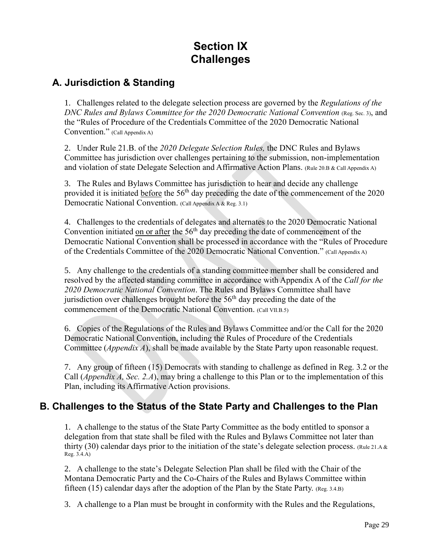## **Section IX Challenges**

#### <span id="page-28-1"></span><span id="page-28-0"></span>**A. Jurisdiction & Standing**

1. Challenges related to the delegate selection process are governed by the *Regulations of the DNC Rules and Bylaws Committee for the 2020 Democratic National Convention* (Reg. Sec. 3), and the "Rules of Procedure of the Credentials Committee of the 2020 Democratic National Convention." (Call Appendix A)

2. Under Rule 21.B. of the *2020 Delegate Selection Rules,* the DNC Rules and Bylaws Committee has jurisdiction over challenges pertaining to the submission, non-implementation and violation of state Delegate Selection and Affirmative Action Plans. (Rule 20.B & Call Appendix A)

3. The Rules and Bylaws Committee has jurisdiction to hear and decide any challenge provided it is initiated before the  $56<sup>th</sup>$  day preceding the date of the commencement of the 2020 Democratic National Convention. (Call Appendix A & Reg. 3.1)

4. Challenges to the credentials of delegates and alternates to the 2020 Democratic National Convention initiated on or after the  $56<sup>th</sup>$  day preceding the date of commencement of the Democratic National Convention shall be processed in accordance with the "Rules of Procedure of the Credentials Committee of the 2020 Democratic National Convention." (Call Appendix A)

5. Any challenge to the credentials of a standing committee member shall be considered and resolved by the affected standing committee in accordance with Appendix A of the *Call for the 2020 Democratic National Convention*. The Rules and Bylaws Committee shall have jurisdiction over challenges brought before the  $56<sup>th</sup>$  day preceding the date of the commencement of the Democratic National Convention. (Call VII.B.5)

6. Copies of the Regulations of the Rules and Bylaws Committee and/or the Call for the 2020 Democratic National Convention, including the Rules of Procedure of the Credentials Committee (*Appendix A*), shall be made available by the State Party upon reasonable request.

7. Any group of fifteen (15) Democrats with standing to challenge as defined in Reg. 3.2 or the Call (*Appendix A, Sec. 2.A*), may bring a challenge to this Plan or to the implementation of this Plan, including its Affirmative Action provisions.

#### <span id="page-28-2"></span>**B. Challenges to the Status of the State Party and Challenges to the Plan**

1. A challenge to the status of the State Party Committee as the body entitled to sponsor a delegation from that state shall be filed with the Rules and Bylaws Committee not later than thirty (30) calendar days prior to the initiation of the state's delegate selection process. (Rule 21.A & Reg. 3.4.A)

2. A challenge to the state's Delegate Selection Plan shall be filed with the Chair of the Montana Democratic Party and the Co-Chairs of the Rules and Bylaws Committee within fifteen (15) calendar days after the adoption of the Plan by the State Party. (Reg. 3.4.B)

3. A challenge to a Plan must be brought in conformity with the Rules and the Regulations,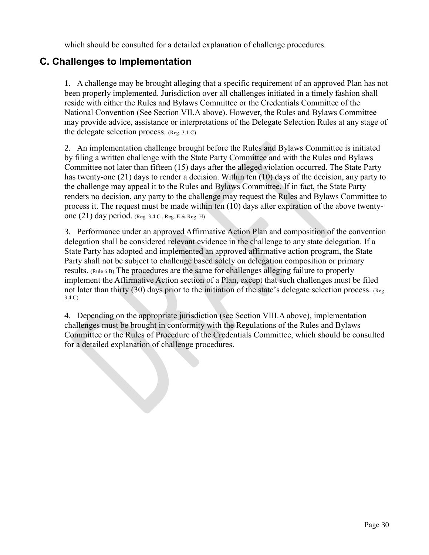which should be consulted for a detailed explanation of challenge procedures.

#### <span id="page-29-0"></span>**C. Challenges to Implementation**

1. A challenge may be brought alleging that a specific requirement of an approved Plan has not been properly implemented. Jurisdiction over all challenges initiated in a timely fashion shall reside with either the Rules and Bylaws Committee or the Credentials Committee of the National Convention (See Section VII.A above). However, the Rules and Bylaws Committee may provide advice, assistance or interpretations of the Delegate Selection Rules at any stage of the delegate selection process. (Reg. 3.1.C)

2. An implementation challenge brought before the Rules and Bylaws Committee is initiated by filing a written challenge with the State Party Committee and with the Rules and Bylaws Committee not later than fifteen (15) days after the alleged violation occurred. The State Party has twenty-one (21) days to render a decision. Within ten (10) days of the decision, any party to the challenge may appeal it to the Rules and Bylaws Committee. If in fact, the State Party renders no decision, any party to the challenge may request the Rules and Bylaws Committee to process it. The request must be made within ten (10) days after expiration of the above twentyone (21) day period. (Reg. 3.4.C., Reg. E & Reg. H)

3. Performance under an approved Affirmative Action Plan and composition of the convention delegation shall be considered relevant evidence in the challenge to any state delegation. If a State Party has adopted and implemented an approved affirmative action program, the State Party shall not be subject to challenge based solely on delegation composition or primary results. (Rule 6.B) The procedures are the same for challenges alleging failure to properly implement the Affirmative Action section of a Plan, except that such challenges must be filed not later than thirty (30) days prior to the initiation of the state's delegate selection process. (Reg. 3.4.C)

4. Depending on the appropriate jurisdiction (see Section VIII.A above), implementation challenges must be brought in conformity with the Regulations of the Rules and Bylaws Committee or the Rules of Procedure of the Credentials Committee, which should be consulted for a detailed explanation of challenge procedures.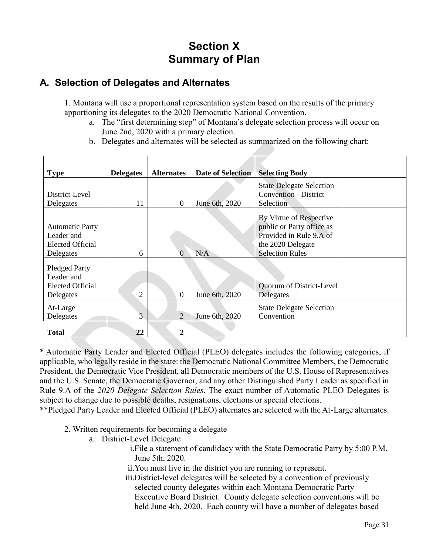## **Section X Summary of Plan**

#### <span id="page-30-1"></span><span id="page-30-0"></span>**A. Selection of Delegates and Alternates**

1. Montana will use a proportional representation system based on the results of the primary apportioning its delegates to the 2020 Democratic National Convention.

- a. The "first determining step" of Montana's delegate selection process will occur on June 2nd, 2020 with a primary election.
- b. Delegates and alternates will be selected as summarized on the following chart:

| <b>Type</b>                        | <b>Delegates</b> | <b>Alternates</b> | <b>Date of Selection</b> | <b>Selecting Body</b>           |  |
|------------------------------------|------------------|-------------------|--------------------------|---------------------------------|--|
|                                    |                  |                   |                          | <b>State Delegate Selection</b> |  |
| District-Level                     |                  |                   |                          | <b>Convention - District</b>    |  |
| Delegates                          | 11               | $\mathbf{0}$      | June 6th, 2020           | Selection                       |  |
|                                    |                  |                   |                          | By Virtue of Respective         |  |
| <b>Automatic Party</b>             |                  |                   |                          | public or Party office as       |  |
| Leader and                         |                  |                   |                          | Provided in Rule 9.A of         |  |
| <b>Elected Official</b>            |                  |                   |                          | the 2020 Delegate               |  |
| Delegates                          | 6                | $\Omega$          | N/A                      | <b>Selection Rules</b>          |  |
|                                    |                  |                   |                          |                                 |  |
| <b>Pledged Party</b><br>Leader and |                  |                   |                          |                                 |  |
| <b>Elected Official</b>            |                  |                   |                          | Quorum of District-Level        |  |
| Delegates                          | 2                | $\overline{0}$    | June 6th, 2020           | Delegates                       |  |
|                                    |                  |                   |                          |                                 |  |
| At-Large                           | 3                |                   |                          | <b>State Delegate Selection</b> |  |
| Delegates                          |                  | $\overline{2}$    | June 6th, 2020           | Convention                      |  |
| <b>Total</b>                       | 22               | $\mathbf{2}$      |                          |                                 |  |

\* Automatic Party Leader and Elected Official (PLEO) delegates includes the following categories, if applicable, who legally reside in the state: the Democratic National Committee Members, the Democratic President, the Democratic Vice President, all Democratic members of the U.S. House of Representatives and the U.S. Senate, the Democratic Governor, and any other Distinguished Party Leader as specified in Rule 9.A of the *2020 Delegate Selection Rules*. The exact number of Automatic PLEO Delegates is subject to change due to possible deaths, resignations, elections or special elections.

\*\*Pledged Party Leader and Elected Official (PLEO) alternates are selected with the At-Large alternates.

- 2. Written requirements for becoming a delegate
	- a. District-Level Delegate
		- i.File a statement of candidacy with the State Democratic Party by 5:00 P.M. June 5th, 2020.
		- ii.You must live in the district you are running to represent.
		- iii.District-level delegates will be selected by a convention of previously selected county delegates within each Montana Democratic Party Executive Board District. County delegate selection conventions will be held June 4th, 2020. Each county will have a number of delegates based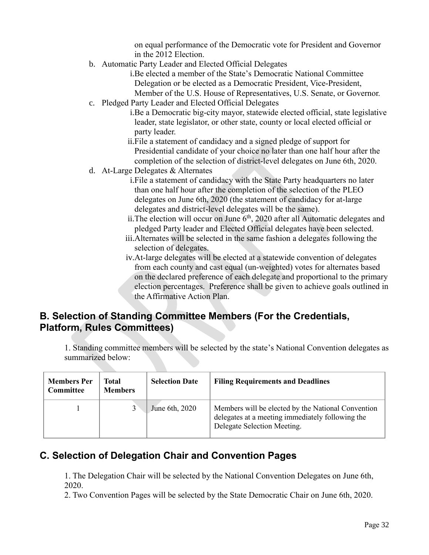on equal performance of the Democratic vote for President and Governor in the 2012 Election.

b. Automatic Party Leader and Elected Official Delegates

i.Be elected a member of the State's Democratic National Committee Delegation or be elected as a Democratic President, Vice-President, Member of the U.S. House of Representatives, U.S. Senate, or Governor.

- c. Pledged Party Leader and Elected Official Delegates
	- i.Be a Democratic big-city mayor, statewide elected official, state legislative leader, state legislator, or other state, county or local elected official or party leader.
	- ii.File a statement of candidacy and a signed pledge of support for Presidential candidate of your choice no later than one half hour after the completion of the selection of district-level delegates on June 6th, 2020.
- d. At-Large Delegates & Alternates
	- i.File a statement of candidacy with the State Party headquarters no later than one half hour after the completion of the selection of the PLEO delegates on June 6th, 2020 (the statement of candidacy for at-large delegates and district-level delegates will be the same).
	- ii. The election will occur on June  $6<sup>th</sup>$ , 2020 after all Automatic delegates and pledged Party leader and Elected Official delegates have been selected.
	- iii.Alternates will be selected in the same fashion a delegates following the selection of delegates.
	- iv.At-large delegates will be elected at a statewide convention of delegates from each county and cast equal (un-weighted) votes for alternates based on the declared preference of each delegate and proportional to the primary election percentages. Preference shall be given to achieve goals outlined in the Affirmative Action Plan.

#### <span id="page-31-0"></span>**B. Selection of Standing Committee Members (For the Credentials, Platform, Rules Committees)**

1. Standing committee members will be selected by the state's National Convention delegates as summarized below:

| <b>Members Per</b><br>Committee | Total<br><b>Members</b> | <b>Selection Date</b> | <b>Filing Requirements and Deadlines</b>                                                                                              |
|---------------------------------|-------------------------|-----------------------|---------------------------------------------------------------------------------------------------------------------------------------|
|                                 |                         | June 6th, 2020        | Members will be elected by the National Convention<br>delegates at a meeting immediately following the<br>Delegate Selection Meeting. |

#### <span id="page-31-1"></span>**C. Selection of Delegation Chair and Convention Pages**

1. The Delegation Chair will be selected by the National Convention Delegates on June 6th, 2020.

2. Two Convention Pages will be selected by the State Democratic Chair on June 6th, 2020.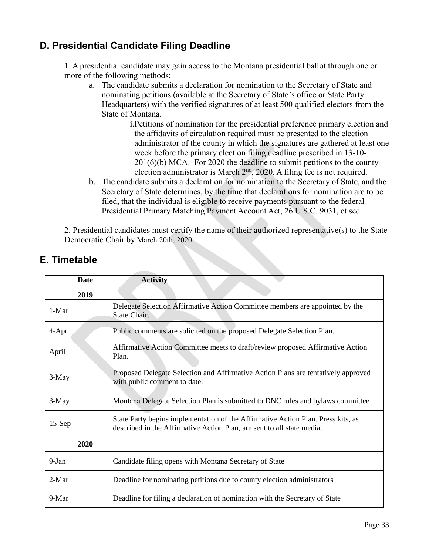## <span id="page-32-0"></span>**D. Presidential Candidate Filing Deadline**

1. A presidential candidate may gain access to the Montana presidential ballot through one or more of the following methods:

- a. The candidate submits a declaration for nomination to the Secretary of State and nominating petitions (available at the Secretary of State's office or State Party Headquarters) with the verified signatures of at least 500 qualified electors from the State of Montana.
	- i.Petitions of nomination for the presidential preference primary election and the affidavits of circulation required must be presented to the election administrator of the county in which the signatures are gathered at least one week before the primary election filing deadline prescribed in 13-10- 201(6)(b) MCA. For 2020 the deadline to submit petitions to the county election administrator is March  $2<sup>nd</sup>$ , 2020. A filing fee is not required.
- b. The candidate submits a declaration for nomination to the Secretary of State, and the Secretary of State determines, by the time that declarations for nomination are to be filed, that the individual is eligible to receive payments pursuant to the federal Presidential Primary Matching Payment Account Act, 26 U.S.C. 9031, et seq.

2. Presidential candidates must certify the name of their authorized representative(s) to the State Democratic Chair by March 20th, 2020.

| <b>Date</b> | <b>Activity</b>                                                                                                                                            |
|-------------|------------------------------------------------------------------------------------------------------------------------------------------------------------|
| 2019        |                                                                                                                                                            |
| $1-Mar$     | Delegate Selection Affirmative Action Committee members are appointed by the<br>State Chair.                                                               |
| $4-Apr$     | Public comments are solicited on the proposed Delegate Selection Plan.                                                                                     |
| April       | Affirmative Action Committee meets to draft/review proposed Affirmative Action<br>Plan.                                                                    |
| 3-May       | Proposed Delegate Selection and Affirmative Action Plans are tentatively approved<br>with public comment to date.                                          |
| 3-May       | Montana Delegate Selection Plan is submitted to DNC rules and bylaws committee                                                                             |
| $15-Sep$    | State Party begins implementation of the Affirmative Action Plan. Press kits, as<br>described in the Affirmative Action Plan, are sent to all state media. |
| 2020        |                                                                                                                                                            |
| $9-Jan$     | Candidate filing opens with Montana Secretary of State                                                                                                     |
| $2-Mar$     | Deadline for nominating petitions due to county election administrators                                                                                    |
| 9-Mar       | Deadline for filing a declaration of nomination with the Secretary of State                                                                                |

## <span id="page-32-1"></span>**E. Timetable**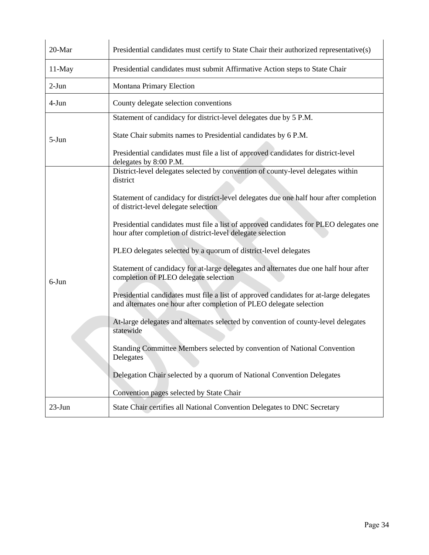| 20-Mar    | Presidential candidates must certify to State Chair their authorized representative(s)                                                                        |
|-----------|---------------------------------------------------------------------------------------------------------------------------------------------------------------|
| $11$ -May | Presidential candidates must submit Affirmative Action steps to State Chair                                                                                   |
| $2-Jun$   | Montana Primary Election                                                                                                                                      |
| $4-Jun$   | County delegate selection conventions                                                                                                                         |
|           | Statement of candidacy for district-level delegates due by 5 P.M.                                                                                             |
| $5-Jun$   | State Chair submits names to Presidential candidates by 6 P.M.                                                                                                |
|           | Presidential candidates must file a list of approved candidates for district-level<br>delegates by 8:00 P.M.                                                  |
|           | District-level delegates selected by convention of county-level delegates within<br>district                                                                  |
|           | Statement of candidacy for district-level delegates due one half hour after completion<br>of district-level delegate selection                                |
|           | Presidential candidates must file a list of approved candidates for PLEO delegates one<br>hour after completion of district-level delegate selection          |
|           | PLEO delegates selected by a quorum of district-level delegates                                                                                               |
| $6-J$ un  | Statement of candidacy for at-large delegates and alternates due one half hour after<br>completion of PLEO delegate selection                                 |
|           | Presidential candidates must file a list of approved candidates for at-large delegates<br>and alternates one hour after completion of PLEO delegate selection |
|           | At-large delegates and alternates selected by convention of county-level delegates<br>statewide                                                               |
|           | Standing Committee Members selected by convention of National Convention<br>Delegates                                                                         |
|           | Delegation Chair selected by a quorum of National Convention Delegates                                                                                        |
|           | Convention pages selected by State Chair                                                                                                                      |
| $23$ -Jun | State Chair certifies all National Convention Delegates to DNC Secretary                                                                                      |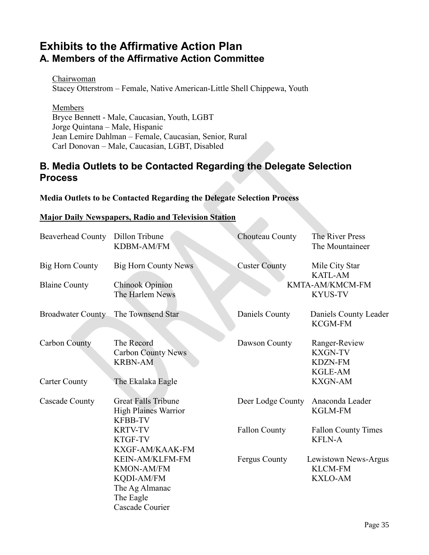## <span id="page-34-1"></span><span id="page-34-0"></span>**Exhibits to the Affirmative Action Plan A. Members of the Affirmative Action Committee**

Chairwoman Stacey Otterstrom – Female, Native American-Little Shell Chippewa, Youth

Members Bryce Bennett - Male, Caucasian, Youth, LGBT Jorge Quintana – Male, Hispanic Jean Lemire Dahlman – Female, Caucasian, Senior, Rural Carl Donovan – Male, Caucasian, LGBT, Disabled

#### <span id="page-34-2"></span>**B. Media Outlets to be Contacted Regarding the Delegate Selection Process**

#### **Media Outlets to be Contacted Regarding the Delegate Selection Process**

#### **Major Daily Newspapers, Radio and Television Station**

| <b>Beaverhead County</b> | Dillon Tribune<br>KDBM-AM/FM                                                                         | Chouteau County      | The River Press<br>The Mountaineer                                  |
|--------------------------|------------------------------------------------------------------------------------------------------|----------------------|---------------------------------------------------------------------|
| Big Horn County          | <b>Big Horn County News</b>                                                                          | <b>Custer County</b> | Mile City Star<br><b>KATL-AM</b>                                    |
| <b>Blaine County</b>     | <b>Chinook Opinion</b><br>The Harlem News                                                            |                      | KMTA-AM/KMCM-FM<br><b>KYUS-TV</b>                                   |
| <b>Broadwater County</b> | The Townsend Star                                                                                    | Daniels County       | Daniels County Leader<br><b>KCGM-FM</b>                             |
| <b>Carbon County</b>     | The Record<br><b>Carbon County News</b><br><b>KRBN-AM</b>                                            | Dawson County        | Ranger-Review<br><b>KXGN-TV</b><br><b>KDZN-FM</b><br><b>KGLE-AM</b> |
| <b>Carter County</b>     | The Ekalaka Eagle                                                                                    |                      | <b>KXGN-AM</b>                                                      |
| Cascade County           | <b>Great Falls Tribune</b><br><b>High Plaines Warrior</b><br><b>KFBB-TV</b>                          | Deer Lodge County    | Anaconda Leader<br><b>KGLM-FM</b>                                   |
|                          | <b>KRTV-TV</b><br>KTGF-TV<br>KXGF-AM/KAAK-FM                                                         | <b>Fallon County</b> | <b>Fallon County Times</b><br><b>KFLN-A</b>                         |
|                          | KEIN-AM/KLFM-FM<br><b>KMON-AM/FM</b><br>KQDI-AM/FM<br>The Ag Almanac<br>The Eagle<br>Cascade Courier | Fergus County        | Lewistown News-Argus<br><b>KLCM-FM</b><br><b>KXLO-AM</b>            |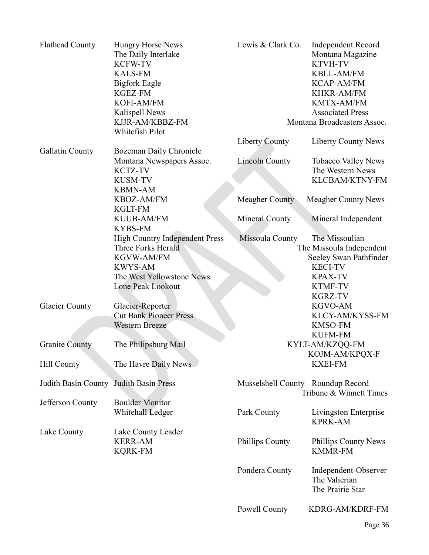| <b>Flathead County</b>                 | <b>Hungry Horse News</b><br>The Daily Interlake<br><b>KCFW-TV</b><br><b>KALS-FM</b><br><b>Bigfork Eagle</b><br><b>KGEZ-FM</b><br>KOFI-AM/FM<br>Kalispell News<br>KJJR-AM/KBBZ-FM | Lewis & Clark Co.                 | <b>Independent Record</b><br>Montana Magazine<br><b>KTVH-TV</b><br><b>KBLL-AM/FM</b><br><b>KCAP-AM/FM</b><br><b>KHKR-AM/FM</b><br>KMTX-AM/FM<br><b>Associated Press</b><br>Montana Broadcasters Assoc. |
|----------------------------------------|----------------------------------------------------------------------------------------------------------------------------------------------------------------------------------|-----------------------------------|--------------------------------------------------------------------------------------------------------------------------------------------------------------------------------------------------------|
|                                        | Whitefish Pilot                                                                                                                                                                  | <b>Liberty County</b>             | <b>Liberty County News</b>                                                                                                                                                                             |
| Gallatin County                        | Bozeman Daily Chronicle                                                                                                                                                          |                                   |                                                                                                                                                                                                        |
|                                        | Montana Newspapers Assoc.<br>KCTZ-TV<br><b>KUSM-TV</b><br><b>KBMN-AM</b>                                                                                                         | <b>Lincoln County</b>             | <b>Tobacco Valley News</b><br>The Western News<br>KLCBAM/KTNY-FM                                                                                                                                       |
|                                        | KBOZ-AM/FM<br><b>KGLT-FM</b>                                                                                                                                                     | <b>Meagher County</b>             | <b>Meagher County News</b>                                                                                                                                                                             |
|                                        | <b>KUUB-AM/FM</b><br><b>KYBS-FM</b>                                                                                                                                              | Mineral County                    | Mineral Independent                                                                                                                                                                                    |
|                                        | <b>High Country Independent Press</b><br>Three Forks Herald<br>KGVW-AM/FM<br><b>KWYS-AM</b><br>The West Yellowstone News<br>Lone Peak Lookout                                    | Missoula County                   | The Missoulian<br>The Missoula Independent<br>Seeley Swan Pathfinder<br><b>KECI-TV</b><br><b>KPAX-TV</b><br><b>KTMF-TV</b><br><b>KGRZ-TV</b>                                                           |
| <b>Glacier County</b>                  | Glacier-Reporter<br><b>Cut Bank Pioneer Press</b><br><b>Western Breeze</b>                                                                                                       |                                   | <b>KGVO-AM</b><br>KLCY-AM/KYSS-FM<br><b>KMSO-FM</b><br><b>KUFM-FM</b>                                                                                                                                  |
| <b>Granite County</b>                  | The Philipsburg Mail                                                                                                                                                             |                                   | KYLT-AM/KZQQ-FM<br>KOJM-AM/KPQX-F                                                                                                                                                                      |
| Hill County                            | The Havre Daily News                                                                                                                                                             |                                   | <b>KXEI-FM</b>                                                                                                                                                                                         |
| Judith Basin County Judith Basin Press |                                                                                                                                                                                  | Musselshell County Roundup Record | Tribune & Winnett Times                                                                                                                                                                                |
| Jefferson County                       | <b>Boulder Monitor</b><br>Whitehall Ledger                                                                                                                                       | Park County                       | Livingston Enterprise<br><b>KPRK-AM</b>                                                                                                                                                                |
| Lake County                            | Lake County Leader<br><b>KERR-AM</b><br><b>KQRK-FM</b>                                                                                                                           | Phillips County                   | Phillips County News<br><b>KMMR-FM</b>                                                                                                                                                                 |
|                                        |                                                                                                                                                                                  | Pondera County                    | Independent-Observer<br>The Valierian<br>The Prairie Star                                                                                                                                              |
|                                        |                                                                                                                                                                                  | Powell County                     | KDRG-AM/KDRF-FM                                                                                                                                                                                        |